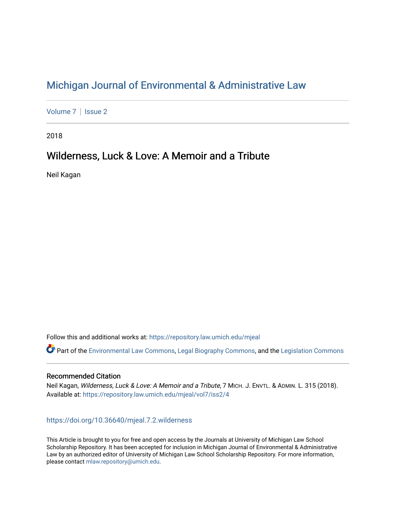# [Michigan Journal of Environmental & Administrative Law](https://repository.law.umich.edu/mjeal)

[Volume 7](https://repository.law.umich.edu/mjeal/vol7) | Issue 2

2018

# Wilderness, Luck & Love: A Memoir and a Tribute

Neil Kagan

Follow this and additional works at: [https://repository.law.umich.edu/mjeal](https://repository.law.umich.edu/mjeal?utm_source=repository.law.umich.edu%2Fmjeal%2Fvol7%2Fiss2%2F4&utm_medium=PDF&utm_campaign=PDFCoverPages)

Part of the [Environmental Law Commons](http://network.bepress.com/hgg/discipline/599?utm_source=repository.law.umich.edu%2Fmjeal%2Fvol7%2Fiss2%2F4&utm_medium=PDF&utm_campaign=PDFCoverPages), [Legal Biography Commons](http://network.bepress.com/hgg/discipline/834?utm_source=repository.law.umich.edu%2Fmjeal%2Fvol7%2Fiss2%2F4&utm_medium=PDF&utm_campaign=PDFCoverPages), and the [Legislation Commons](http://network.bepress.com/hgg/discipline/859?utm_source=repository.law.umich.edu%2Fmjeal%2Fvol7%2Fiss2%2F4&utm_medium=PDF&utm_campaign=PDFCoverPages) 

### Recommended Citation

Neil Kagan, Wilderness, Luck & Love: A Memoir and a Tribute, 7 MICH. J. ENVTL. & ADMIN. L. 315 (2018). Available at: [https://repository.law.umich.edu/mjeal/vol7/iss2/4](https://repository.law.umich.edu/mjeal/vol7/iss2/4?utm_source=repository.law.umich.edu%2Fmjeal%2Fvol7%2Fiss2%2F4&utm_medium=PDF&utm_campaign=PDFCoverPages)

## <https://doi.org/10.36640/mjeal.7.2.wilderness>

This Article is brought to you for free and open access by the Journals at University of Michigan Law School Scholarship Repository. It has been accepted for inclusion in Michigan Journal of Environmental & Administrative Law by an authorized editor of University of Michigan Law School Scholarship Repository. For more information, please contact [mlaw.repository@umich.edu.](mailto:mlaw.repository@umich.edu)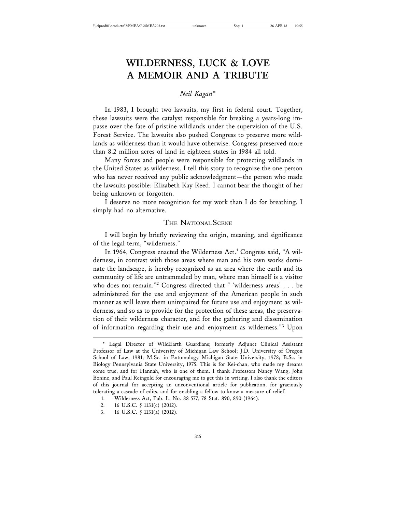# **WILDERNESS, LUCK & LOVE A MEMOIR AND A TRIBUTE**

# *Neil Kagan\**

In 1983, I brought two lawsuits, my first in federal court. Together, these lawsuits were the catalyst responsible for breaking a years-long impasse over the fate of pristine wildlands under the supervision of the U.S. Forest Service. The lawsuits also pushed Congress to preserve more wildlands as wilderness than it would have otherwise. Congress preserved more than 8.2 million acres of land in eighteen states in 1984 all told.

Many forces and people were responsible for protecting wildlands in the United States as wilderness. I tell this story to recognize the one person who has never received any public acknowledgment—the person who made the lawsuits possible: Elizabeth Kay Reed. I cannot bear the thought of her being unknown or forgotten.

I deserve no more recognition for my work than I do for breathing. I simply had no alternative.

### THE NATIONAL SCENE

I will begin by briefly reviewing the origin, meaning, and significance of the legal term, "wilderness."

In 1964, Congress enacted the Wilderness Act.<sup>1</sup> Congress said, "A wilderness, in contrast with those areas where man and his own works dominate the landscape, is hereby recognized as an area where the earth and its community of life are untrammeled by man, where man himself is a visitor who does not remain."<sup>2</sup> Congress directed that " 'wilderness areas' . . . be administered for the use and enjoyment of the American people in such manner as will leave them unimpaired for future use and enjoyment as wilderness, and so as to provide for the protection of these areas, the preservation of their wilderness character, and for the gathering and dissemination of information regarding their use and enjoyment as wilderness."<sup>3</sup> Upon

<sup>\*</sup> Legal Director of WildEarth Guardians; formerly Adjunct Clinical Assistant Professor of Law at the University of Michigan Law School; J.D. University of Oregon School of Law, 1981; M.Sc. in Entomology Michigan State University, 1978; B.Sc. in Biology Pennsylvania State University, 1975. This is for Kei-chan, who made my dreams come true, and for Hannah, who is one of them. I thank Professors Nancy Wang, John Bonine, and Paul Reingold for encouraging me to get this in writing. I also thank the editors of this journal for accepting an unconventional article for publication, for graciously tolerating a cascade of edits, and for enabling a fellow to know a measure of relief.

<sup>1.</sup> Wilderness Act, Pub. L. No. 88-577, 78 Stat. 890, 890 (1964).

<sup>2. 16</sup> U.S.C. § 1131(c) (2012).

<sup>3. 16</sup> U.S.C. § 1131(a) (2012).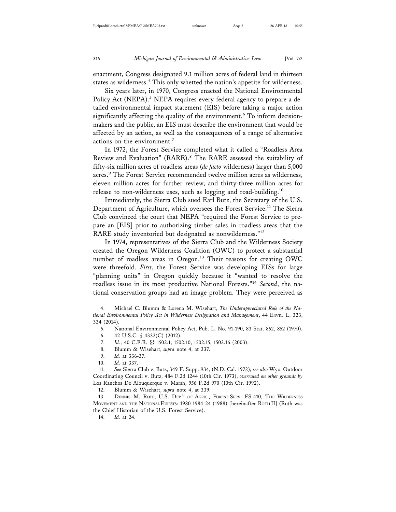enactment, Congress designated 9.1 million acres of federal land in thirteen states as wilderness.<sup>4</sup> This only whetted the nation's appetite for wilderness.

Six years later, in 1970, Congress enacted the National Environmental Policy Act (NEPA).<sup>5</sup> NEPA requires every federal agency to prepare a detailed environmental impact statement (EIS) before taking a major action significantly affecting the quality of the environment.<sup>6</sup> To inform decisionmakers and the public, an EIS must describe the environment that would be affected by an action, as well as the consequences of a range of alternative actions on the environment.<sup>7</sup>

In 1972, the Forest Service completed what it called a "Roadless Area Review and Evaluation" (RARE).<sup>8</sup> The RARE assessed the suitability of fifty-six million acres of roadless areas (*de facto* wilderness) larger than 5,000 acres.<sup>9</sup> The Forest Service recommended twelve million acres as wilderness, eleven million acres for further review, and thirty-three million acres for release to non-wilderness uses, such as logging and road-building.<sup>10</sup>

Immediately, the Sierra Club sued Earl Butz, the Secretary of the U.S. Department of Agriculture, which oversees the Forest Service.<sup>11</sup> The Sierra Club convinced the court that NEPA "required the Forest Service to prepare an [EIS] prior to authorizing timber sales in roadless areas that the RARE study inventoried but designated as nonwilderness."<sup>12</sup>

In 1974, representatives of the Sierra Club and the Wilderness Society created the Oregon Wilderness Coalition (OWC) to protect a substantial number of roadless areas in Oregon.<sup>13</sup> Their reasons for creating OWC were threefold. *First*, the Forest Service was developing EISs for large "planning units" in Oregon quickly because it "wanted to resolve the roadless issue in its most productive National Forests."<sup>14</sup> *Second*, the national conservation groups had an image problem. They were perceived as

- 8. Blumm & Wisehart, *supra* note 4, at 337.
- 9. *Id.* at 336-37.
- 10. *Id.* at 337.

11. *See* Sierra Club v. Butz, 349 F. Supp. 934, (N.D. Cal. 1972); *see also* Wyo. Outdoor Coordinating Council v. Butz, 484 F.2d 1244 (10th Cir. 1973), *overruled on other grounds by* Los Ranchos De Albuquerque v. Marsh, 956 F.2d 970 (10th Cir. 1992).

12. Blumm & Wisehart, *supra* note 4, at 339.

13. DENNIS M. ROTH, U.S. DEP'T OF AGRIC., FOREST SERV. FS-410, THE WILDERNESS MOVEMENT AND THE NATIONAL FORESTS: 1980-1984 24 (1988) [hereinafter ROTH II] (Roth was the Chief Historian of the U.S. Forest Service).

14. *Id.* at 24.

<sup>4.</sup> Michael C. Blumm & Lorena M. Wisehart, *The Underappreciated Role of the National Environmental Policy Act in Wilderness Designation and Management*, 44 ENVTL. L. 323, 334 (2014).

<sup>5.</sup> National Environmental Policy Act, Pub. L. No. 91-190, 83 Stat. 852, 852 (1970).

<sup>6. 42</sup> U.S.C. § 4332(C) (2012).

<sup>7.</sup> *Id.*; 40 C.F.R. §§ 1502.1, 1502.10, 1502.15, 1502.16 (2003).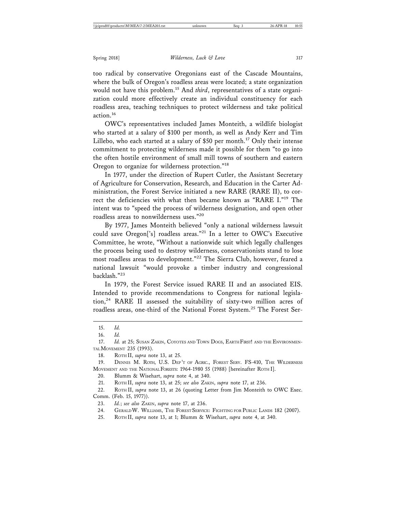too radical by conservative Oregonians east of the Cascade Mountains, where the bulk of Oregon's roadless areas were located; a state organization would not have this problem.15 And *third*, representatives of a state organization could more effectively create an individual constituency for each roadless area, teaching techniques to protect wilderness and take political action.16

OWC's representatives included James Monteith, a wildlife biologist who started at a salary of \$100 per month, as well as Andy Kerr and Tim Lillebo, who each started at a salary of \$50 per month.<sup>17</sup> Only their intense commitment to protecting wilderness made it possible for them "to go into the often hostile environment of small mill towns of southern and eastern Oregon to organize for wilderness protection."<sup>18</sup>

In 1977, under the direction of Rupert Cutler, the Assistant Secretary of Agriculture for Conservation, Research, and Education in the Carter Administration, the Forest Service initiated a new RARE (RARE II), to correct the deficiencies with what then became known as "RARE I."19 The intent was to "speed the process of wilderness designation, and open other roadless areas to nonwilderness uses."<sup>20</sup>

By 1977, James Monteith believed "only a national wilderness lawsuit could save Oregon['s] roadless areas."21 In a letter to OWC's Executive Committee, he wrote, "Without a nationwide suit which legally challenges the process being used to destroy wilderness, conservationists stand to lose most roadless areas to development."22 The Sierra Club, however, feared a national lawsuit "would provoke a timber industry and congressional backlash."23

In 1979, the Forest Service issued RARE II and an associated EIS. Intended to provide recommendations to Congress for national legisla- $\frac{1}{2}$  RARE II assessed the suitability of sixty-two million acres of roadless areas, one-third of the National Forest System.<sup>25</sup> The Forest Ser-

- 24. GERALD W. WILLIAMS, THE FOREST SERVICE: FIGHTING FOR PUBLIC LANDS 182 (2007).
- 25. ROTH II, *supra* note 13, at 1; Blumm & Wisehart, *supra* note 4, at 340.

<sup>15.</sup> *Id.*

<sup>16.</sup> *Id.*

<sup>17.</sup> *Id.* at 25; SUSAN ZAKIN, COYOTES AND TOWN DOGS, EARTH FIRST! AND THE ENVIRONMEN-TAL MOVEMENT 235 (1993).

<sup>18.</sup> ROTH II, *supra* note 13, at 25.

<sup>19.</sup> DENNIS M. ROTH, U.S. DEP 'T OF AGRIC., FOREST SERV. FS-410, THE WILDERNESS MOVEMENT AND THE NATIONAL FORESTS: 1964-1980 55 (1988) [hereinafter ROTH I].

<sup>20.</sup> Blumm & Wisehart, *supra* note 4, at 340.

<sup>21.</sup> ROTH II, *supra* note 13, at 25; *see also* ZAKIN, *supra* note 17, at 236.

<sup>22.</sup> ROTH II, *supra* note 13, at 26 (quoting Letter from Jim Monteith to OWC Exec. Comm. (Feb. 15, 1977)).

<sup>23.</sup> *Id.*; *see also* ZAKIN, *supra* note 17, at 236.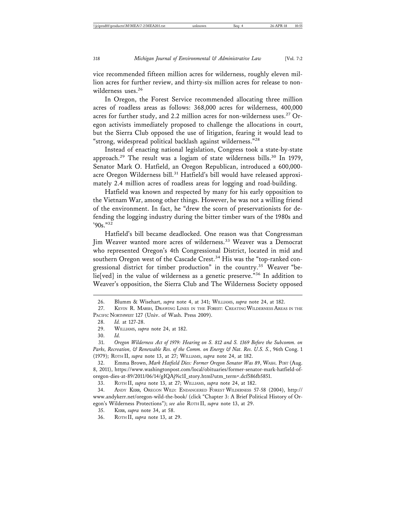vice recommended fifteen million acres for wilderness, roughly eleven million acres for further review, and thirty-six million acres for release to nonwilderness uses.<sup>26</sup>

In Oregon, the Forest Service recommended allocating three million acres of roadless areas as follows: 368,000 acres for wilderness, 400,000 acres for further study, and 2.2 million acres for non-wilderness uses.<sup>27</sup> Oregon activists immediately proposed to challenge the allocations in court, but the Sierra Club opposed the use of litigation, fearing it would lead to "strong, widespread political backlash against wilderness."<sup>28</sup>

Instead of enacting national legislation, Congress took a state-by-state approach.<sup>29</sup> The result was a logjam of state wilderness bills.<sup>30</sup> In 1979, Senator Mark O. Hatfield, an Oregon Republican, introduced a 600,000 acre Oregon Wilderness bill.<sup>31</sup> Hatfield's bill would have released approximately 2.4 million acres of roadless areas for logging and road-building.

Hatfield was known and respected by many for his early opposition to the Vietnam War, among other things. However, he was not a willing friend of the environment. In fact, he "drew the scorn of preservationists for defending the logging industry during the bitter timber wars of the 1980s and '90s<sup>."32</sup>

Hatfield's bill became deadlocked. One reason was that Congressman Jim Weaver wanted more acres of wilderness.<sup>33</sup> Weaver was a Democrat who represented Oregon's 4th Congressional District, located in mid and southern Oregon west of the Cascade Crest.<sup>34</sup> His was the "top-ranked congressional district for timber production" in the country.<sup>35</sup> Weaver "belie[ved] in the value of wilderness as a genetic preserve."36 In addition to Weaver's opposition, the Sierra Club and The Wilderness Society opposed

<sup>26.</sup> Blumm & Wisehart, *supra* note 4, at 341; WILLIAMS, *supra* note 24, at 182.

<sup>27.</sup> KEVIN R. MARSH, DRAWING LINES IN THE FOREST: CREATING WILDERNESS AREAS IN THE PACIFIC NORTHWEST 127 (Univ. of Wash. Press 2009).

<sup>28.</sup> *Id.* at 127-28.

<sup>29.</sup> WILLIAMS, *supra* note 24, at 182.

<sup>30.</sup> *Id.*

<sup>31.</sup> *Oregon Wilderness Act of 1979: Hearing on S. 812 and S. 1369 Before the Subcomm. on Parks, Recreation, & Renewable Res. of the Comm. on Energy & Nat. Res. U.S. S.*, 96th Cong. 1 (1979); ROTH II, *supra* note 13, at 27; WILLIAMS, *supra* note 24, at 182.

<sup>32.</sup> Emma Brown, *Mark Hatfield Dies: Former Oregon Senator Was 89*, WASH. POST (Aug. 8, 2011), https://www.washingtonpost.com/local/obituaries/former-senator-mark-hatfield-oforegon-dies-at-89/2011/06/14/gIQAj9ic1I\_story.html?utm\_term=.dcf586fb5851.

<sup>33.</sup> ROTH II, *supra* note 13, at 27; WILLIAMS, *supra* note 24, at 182.

<sup>34.</sup> ANDY KERR, OREGON WILD: ENDANGERED FOREST WILDERNESS 57-58 (2004), http:// www.andykerr.net/oregon-wild-the-book/ (click "Chapter 3: A Brief Political History of Oregon's Wilderness Protections"); *see also* ROTH II, *supra* note 13, at 29.

<sup>35.</sup> KERR, *supra* note 34, at 58.

<sup>36.</sup> ROTH II, *supra* note 13, at 29.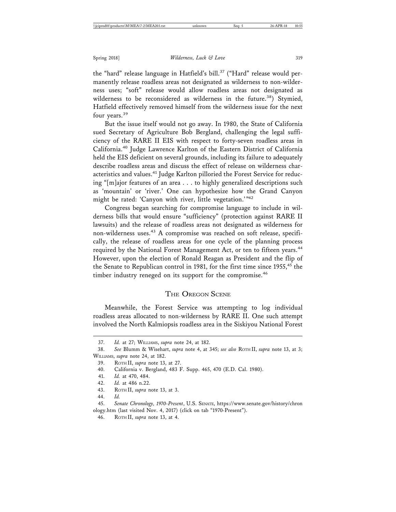the "hard" release language in Hatfield's bill.<sup>37</sup> ("Hard" release would permanently release roadless areas not designated as wilderness to non-wilderness uses; "soft" release would allow roadless areas not designated as wilderness to be reconsidered as wilderness in the future.<sup>38</sup>) Stymied, Hatfield effectively removed himself from the wilderness issue for the next four years.<sup>39</sup>

But the issue itself would not go away. In 1980, the State of California sued Secretary of Agriculture Bob Bergland, challenging the legal sufficiency of the RARE II EIS with respect to forty-seven roadless areas in California.40 Judge Lawrence Karlton of the Eastern District of California held the EIS deficient on several grounds, including its failure to adequately describe roadless areas and discuss the effect of release on wilderness characteristics and values.<sup>41</sup> Judge Karlton pilloried the Forest Service for reducing "[m]ajor features of an area . . . to highly generalized descriptions such as 'mountain' or 'river.' One can hypothesize how the Grand Canyon might be rated: 'Canyon with river, little vegetation.'"42

Congress began searching for compromise language to include in wilderness bills that would ensure "sufficiency" (protection against RARE II lawsuits) and the release of roadless areas not designated as wilderness for non-wilderness uses.<sup>43</sup> A compromise was reached on soft release, specifically, the release of roadless areas for one cycle of the planning process required by the National Forest Management Act, or ten to fifteen years.<sup>44</sup> However, upon the election of Ronald Reagan as President and the flip of the Senate to Republican control in 1981, for the first time since 1955,<sup>45</sup> the timber industry reneged on its support for the compromise.<sup>46</sup>

## THE OREGON SCENE

Meanwhile, the Forest Service was attempting to log individual roadless areas allocated to non-wilderness by RARE II. One such attempt involved the North Kalmiopsis roadless area in the Siskiyou National Forest

<sup>37.</sup> *Id.* at 27; WILLIAMS, *supra* note 24, at 182.

<sup>38.</sup> *See* Blumm & Wisehart, *supra* note 4, at 345; *see also* ROTH II, *supra* note 13, at 3; WILLIAMS, *supra* note 24, at 182.

<sup>39.</sup> ROTH II, *supra* note 13, at 27.

<sup>40.</sup> California v. Bergland, 483 F. Supp. 465, 470 (E.D. Cal. 1980).

<sup>41.</sup> *Id.* at 470, 484.

<sup>42.</sup> *Id.* at 486 n.22.

<sup>43.</sup> ROTH II, *supra* note 13, at 3.

<sup>44.</sup> *Id.*

<sup>45.</sup> *Senate Chronology, 1970-Present*, U.S. SENATE, https://www.senate.gov/history/chron ology.htm (last visited Nov. 4, 2017) (click on tab "1970-Present").

<sup>46.</sup> ROTH II, *supra* note 13, at 4.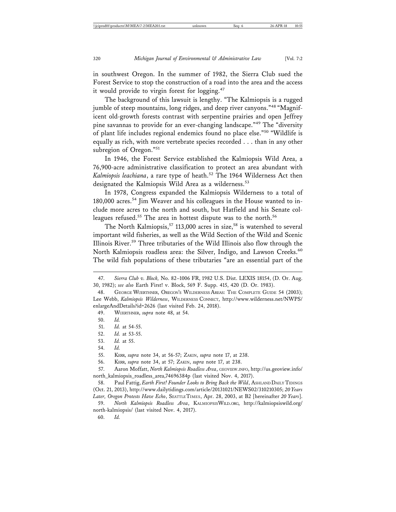in southwest Oregon. In the summer of 1982, the Sierra Club sued the Forest Service to stop the construction of a road into the area and the access it would provide to virgin forest for logging.<sup>47</sup>

The background of this lawsuit is lengthy. "The Kalmiopsis is a rugged jumble of steep mountains, long ridges, and deep river canyons."<sup>48</sup> "Magnificent old-growth forests contrast with serpentine prairies and open Jeffrey pine savannas to provide for an ever-changing landscape."49 The "diversity of plant life includes regional endemics found no place else."50 "Wildlife is equally as rich, with more vertebrate species recorded . . . than in any other subregion of Oregon."<sup>51</sup>

In 1946, the Forest Service established the Kalmiopsis Wild Area, a 76,900-acre administrative classification to protect an area abundant with Kalmiopsis leachiana, a rare type of heath.<sup>52</sup> The 1964 Wilderness Act then designated the Kalmiopsis Wild Area as a wilderness.<sup>53</sup>

In 1978, Congress expanded the Kalmiopsis Wilderness to a total of 180,000 acres.<sup>54</sup> Jim Weaver and his colleagues in the House wanted to include more acres to the north and south, but Hatfield and his Senate colleagues refused.<sup>55</sup> The area in hottest dispute was to the north.<sup>56</sup>

The North Kalmiopsis,<sup>57</sup> 113,000 acres in size,<sup>58</sup> is watershed to several important wild fisheries, as well as the Wild Section of the Wild and Scenic Illinois River.59 Three tributaries of the Wild Illinois also flow through the North Kalmiopsis roadless area: the Silver, Indigo, and Lawson Creeks.<sup>60</sup> The wild fish populations of these tributaries "are an essential part of the

49. WUERTHNER, *supra* note 48, at 54.

50. *Id.*

54. *Id.*

55. KERR, *supra* note 34, at 56-57; ZAKIN, *supra* note 17, at 238.

56. KERR, *supra* note 34, at 57; ZAKIN, *supra* note 17, at 238.

60. *Id.*

<sup>47.</sup> *Sierra Club v. Block,* No. 82–1006 FR, 1982 U.S. Dist. LEXIS 18154, (D. Or. Aug. 30, 1982); *see also* Earth First! v. Block, 569 F. Supp. 415, 420 (D. Or. 1983).

GEORGE WUERTHNER, OREGON'S WILDERNESS AREAS: THE COMPLETE GUIDE 54 (2003); Lee Webb, *Kalmiopsis Wilderness*, WILDERNESS CONNECT, http://www.wilderness.net/NWPS/ enlargeAndDetails?id=2626 (last visited Feb. 24, 2018).

<sup>51.</sup> *Id.* at 54-55.

<sup>52.</sup> *Id.* at 53-55.

<sup>53.</sup> *Id.* at 55.

<sup>57.</sup> Aaron Moffatt, *North Kalmiopsis Roadless Area*, GEOVIEW.INFO, http://us.geoview.info/ north\_kalmiopsis\_roadless\_area,74696384p (last visited Nov. 4, 2017).

<sup>58.</sup> Paul Fattig, *Earth First! Founder Looks to Bring Back the Wild*, ASHLAND DAILY TIDINGS (Oct. 21, 2013), http://www.dailytidings.com/article/20131021/NEWS02/310210305; *20 Years Later, Oregon Protests Have Echo*, SEATTLE TIMES, Apr. 28, 2003, at B2 [hereinafter *20 Years*].

<sup>59.</sup> *North Kalmiopsis Roadless Area*, KALMIOPSISWILD.ORG, http://kalmiopsiswild.org/ north-kalmiopsis/ (last visited Nov. 4, 2017).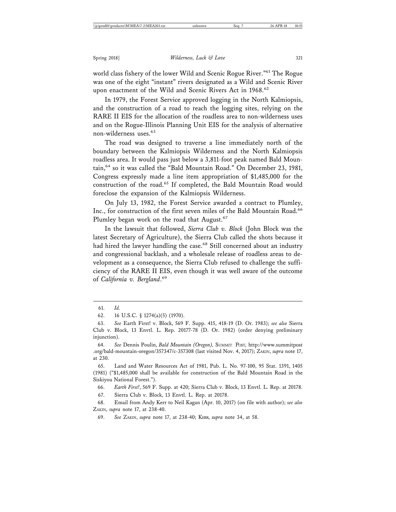world class fishery of the lower Wild and Scenic Rogue River."<sup>61</sup> The Rogue was one of the eight "instant" rivers designated as a Wild and Scenic River upon enactment of the Wild and Scenic Rivers Act in 1968.<sup>62</sup>

In 1979, the Forest Service approved logging in the North Kalmiopsis, and the construction of a road to reach the logging sites, relying on the RARE II EIS for the allocation of the roadless area to non-wilderness uses and on the Rogue-Illinois Planning Unit EIS for the analysis of alternative non-wilderness uses.<sup>63</sup>

The road was designed to traverse a line immediately north of the boundary between the Kalmiopsis Wilderness and the North Kalmiopsis roadless area. It would pass just below a 3,811-foot peak named Bald Mountain,<sup>64</sup> so it was called the "Bald Mountain Road." On December 23, 1981, Congress expressly made a line item appropriation of \$1,485,000 for the construction of the road.65 If completed, the Bald Mountain Road would foreclose the expansion of the Kalmiopsis Wilderness.

On July 13, 1982, the Forest Service awarded a contract to Plumley, Inc., for construction of the first seven miles of the Bald Mountain Road.<sup>66</sup> Plumley began work on the road that August.<sup>67</sup>

In the lawsuit that followed, *Sierra Club v. Block* (John Block was the latest Secretary of Agriculture), the Sierra Club called the shots because it had hired the lawyer handling the case.<sup>68</sup> Still concerned about an industry and congressional backlash, and a wholesale release of roadless areas to development as a consequence, the Sierra Club refused to challenge the sufficiency of the RARE II EIS, even though it was well aware of the outcome of *California v. Bergland*. 69

64. *See* Dennis Poulin, *Bald Mountain (Oregon),* SUMMIT POST, http://www.summitpost .org/bald-mountain-oregon/357347/c-357308 (last visited Nov. 4, 2017); ZAKIN, *supra* note 17, at 230.

65. Land and Water Resources Act of 1981, Pub. L. No. 97-100, 95 Stat. 1391, 1405 (1981) ("\$1,485,000 shall be available for construction of the Bald Mountain Road in the Siskiyou National Forest.").

66. *Earth First!*, 569 F. Supp. at 420; Sierra Club v. Block, 13 Envtl. L. Rep. at 20178.

67. Sierra Club v. Block, 13 Envtl. L. Rep. at 20178.

68. Email from Andy Kerr to Neil Kagan (Apr. 10, 2017) (on file with author); *see also* ZAKIN, *supra* note 17, at 238-40.

69. *See* ZAKIN, *supra* note 17, at 238-40; KERR, *supra* note 34, at 58.

<sup>61.</sup> *Id.*

<sup>62. 16</sup> U.S.C. § 1274(a)(5) (1970).

<sup>63.</sup> *See* Earth First! v. Block, 569 F. Supp. 415, 418-19 (D. Or. 1983); *see also* Sierra Club v. Block, 13 Envtl. L. Rep. 20177-78 (D. Or. 1982) (order denying preliminary injunction).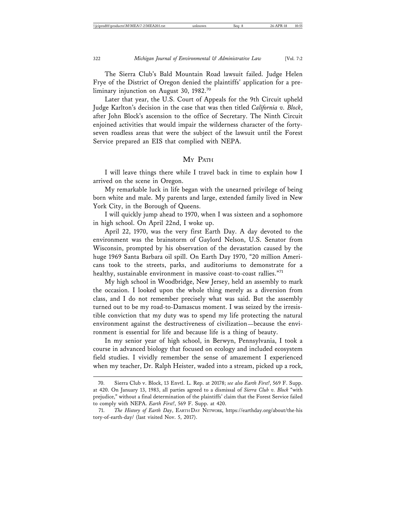The Sierra Club's Bald Mountain Road lawsuit failed. Judge Helen Frye of the District of Oregon denied the plaintiffs' application for a preliminary injunction on August 30, 1982.<sup>70</sup>

Later that year, the U.S. Court of Appeals for the 9th Circuit upheld Judge Karlton's decision in the case that was then titled *California v. Block*, after John Block's ascension to the office of Secretary. The Ninth Circuit enjoined activities that would impair the wilderness character of the fortyseven roadless areas that were the subject of the lawsuit until the Forest Service prepared an EIS that complied with NEPA.

#### MY PATH

I will leave things there while I travel back in time to explain how I arrived on the scene in Oregon.

My remarkable luck in life began with the unearned privilege of being born white and male. My parents and large, extended family lived in New York City, in the Borough of Queens.

I will quickly jump ahead to 1970, when I was sixteen and a sophomore in high school. On April 22nd, I woke up.

April 22, 1970, was the very first Earth Day. A day devoted to the environment was the brainstorm of Gaylord Nelson, U.S. Senator from Wisconsin, prompted by his observation of the devastation caused by the huge 1969 Santa Barbara oil spill. On Earth Day 1970, "20 million Americans took to the streets, parks, and auditoriums to demonstrate for a healthy, sustainable environment in massive coast-to-coast rallies."71

My high school in Woodbridge, New Jersey, held an assembly to mark the occasion. I looked upon the whole thing merely as a diversion from class, and I do not remember precisely what was said. But the assembly turned out to be my road-to-Damascus moment. I was seized by the irresistible conviction that my duty was to spend my life protecting the natural environment against the destructiveness of civilization—because the environment is essential for life and because life is a thing of beauty.

In my senior year of high school, in Berwyn, Pennsylvania, I took a course in advanced biology that focused on ecology and included ecosystem field studies. I vividly remember the sense of amazement I experienced when my teacher, Dr. Ralph Heister, waded into a stream, picked up a rock,

<sup>70.</sup> Sierra Club v. Block, 13 Envtl. L. Rep. at 20178; *see also Earth First!*, 569 F. Supp. at 420. On January 13, 1983, all parties agreed to a dismissal of *Sierra Club v. Block* "with prejudice," without a final determination of the plaintiffs' claim that the Forest Service failed to comply with NEPA. *Earth First!*, 569 F. Supp. at 420.

<sup>71.</sup> *The History of Earth Day*, EARTH DAY NETWORK, https://earthday.org/about/the-his tory-of-earth-day/ (last visited Nov. 5, 2017).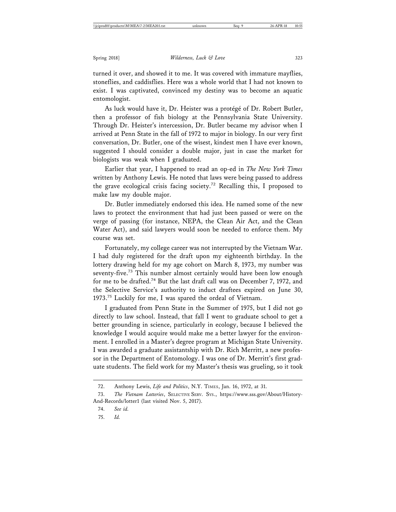turned it over, and showed it to me. It was covered with immature mayflies, stoneflies, and caddisflies. Here was a whole world that I had not known to exist. I was captivated, convinced my destiny was to become an aquatic entomologist.

As luck would have it, Dr. Heister was a protégé of Dr. Robert Butler, then a professor of fish biology at the Pennsylvania State University. Through Dr. Heister's intercession, Dr. Butler became my advisor when I arrived at Penn State in the fall of 1972 to major in biology. In our very first conversation, Dr. Butler, one of the wisest, kindest men I have ever known, suggested I should consider a double major, just in case the market for biologists was weak when I graduated.

Earlier that year, I happened to read an op-ed in *The New York Times* written by Anthony Lewis. He noted that laws were being passed to address the grave ecological crisis facing society.72 Recalling this, I proposed to make law my double major.

Dr. Butler immediately endorsed this idea. He named some of the new laws to protect the environment that had just been passed or were on the verge of passing (for instance, NEPA, the Clean Air Act, and the Clean Water Act), and said lawyers would soon be needed to enforce them. My course was set.

Fortunately, my college career was not interrupted by the Vietnam War. I had duly registered for the draft upon my eighteenth birthday. In the lottery drawing held for my age cohort on March 8, 1973, my number was seventy-five.<sup>73</sup> This number almost certainly would have been low enough for me to be drafted.<sup>74</sup> But the last draft call was on December 7, 1972, and the Selective Service's authority to induct draftees expired on June 30, 1973.75 Luckily for me, I was spared the ordeal of Vietnam.

I graduated from Penn State in the Summer of 1975, but I did not go directly to law school. Instead, that fall I went to graduate school to get a better grounding in science, particularly in ecology, because I believed the knowledge I would acquire would make me a better lawyer for the environment. I enrolled in a Master's degree program at Michigan State University. I was awarded a graduate assistantship with Dr. Rich Merritt, a new professor in the Department of Entomology. I was one of Dr. Merritt's first graduate students. The field work for my Master's thesis was grueling, so it took

75. *Id.*

<sup>72.</sup> Anthony Lewis, *Life and Politics*, N.Y. TIMES, Jan. 16, 1972, at 31.

<sup>73.</sup> *The Vietnam Lotteries*, SELECTIVE SERV. SYS., https://www.sss.gov/About/History-And-Records/lotter1 (last visited Nov. 5, 2017).

<sup>74.</sup> *See id.*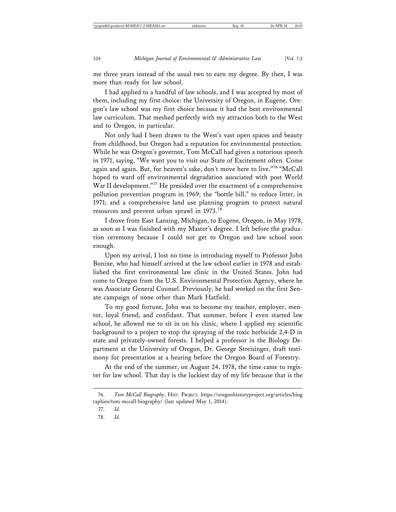me three years instead of the usual two to earn my degree. By then, I was more than ready for law school.

I had applied to a handful of law schools, and I was accepted by most of them, including my first choice: the University of Oregon, in Eugene. Oregon's law school was my first choice because it had the best environmental law curriculum. That meshed perfectly with my attraction both to the West and to Oregon, in particular.

Not only had I been drawn to the West's vast open spaces and beauty from childhood, but Oregon had a reputation for environmental protection. While he was Oregon's governor, Tom McCall had given a notorious speech in 1971, saying, "We want you to visit our State of Excitement often. Come again and again. But, for heaven's sake, don't move here to live."76 "McCall hoped to ward off environmental degradation associated with post World War II development."<sup>77</sup> He presided over the enactment of a comprehensive pollution prevention program in 1969; the "bottle bill," to reduce litter, in 1971; and a comprehensive land use planning program to protect natural resources and prevent urban sprawl in 1973.<sup>78</sup>

I drove from East Lansing, Michigan, to Eugene, Oregon, in May 1978, as soon as I was finished with my Master's degree. I left before the graduation ceremony because I could not get to Oregon and law school soon enough.

Upon my arrival, I lost no time in introducing myself to Professor John Bonine, who had himself arrived at the law school earlier in 1978 and established the first environmental law clinic in the United States. John had come to Oregon from the U.S. Environmental Protection Agency, where he was Associate General Counsel. Previously, he had worked on the first Senate campaign of none other than Mark Hatfield.

To my good fortune, John was to become my teacher, employer, mentor, loyal friend, and confidant. That summer, before I even started law school, he allowed me to sit in on his clinic, where I applied my scientific background to a project to stop the spraying of the toxic herbicide 2,4-D in state and privately-owned forests. I helped a professor in the Biology Department at the University of Oregon, Dr. George Streisinger, draft testimony for presentation at a hearing before the Oregon Board of Forestry.

At the end of the summer, on August 24, 1978, the time came to register for law school. That day is the luckiest day of my life because that is the

<sup>76.</sup> *Tom McCall Biography*, HIST. PROJECT, https://oregonhistoryproject.org/articles/biog raphies/tom-mccall-biography/ (last updated May 1, 2014).

<sup>77.</sup> *Id.*

<sup>78.</sup> *Id.*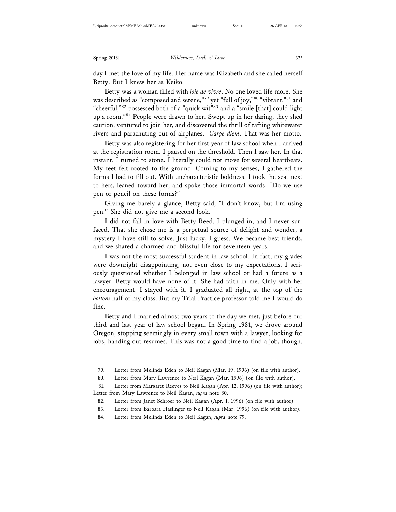day I met the love of my life. Her name was Elizabeth and she called herself Betty. But I knew her as Keiko.

Betty was a woman filled with *joie de vivre*. No one loved life more. She was described as "composed and serene,"79 yet "full of joy,"80 "vibrant,"81 and "cheerful,"<sup>82</sup> possessed both of a "quick wit"<sup>83</sup> and a "smile [that] could light up a room."<sup>84</sup> People were drawn to her. Swept up in her daring, they shed caution, ventured to join her, and discovered the thrill of rafting whitewater rivers and parachuting out of airplanes. *Carpe diem*. That was her motto.

Betty was also registering for her first year of law school when I arrived at the registration room. I paused on the threshold. Then I saw her. In that instant, I turned to stone. I literally could not move for several heartbeats. My feet felt rooted to the ground. Coming to my senses, I gathered the forms I had to fill out. With uncharacteristic boldness, I took the seat next to hers, leaned toward her, and spoke those immortal words: "Do we use pen or pencil on these forms?"

Giving me barely a glance, Betty said, "I don't know, but I'm using pen." She did not give me a second look.

I did not fall in love with Betty Reed. I plunged in, and I never surfaced. That she chose me is a perpetual source of delight and wonder, a mystery I have still to solve. Just lucky, I guess. We became best friends, and we shared a charmed and blissful life for seventeen years.

I was not the most successful student in law school. In fact, my grades were downright disappointing, not even close to my expectations. I seriously questioned whether I belonged in law school or had a future as a lawyer. Betty would have none of it. She had faith in me. Only with her encouragement, I stayed with it. I graduated all right, at the top of the *bottom* half of my class. But my Trial Practice professor told me I would do fine.

Betty and I married almost two years to the day we met, just before our third and last year of law school began. In Spring 1981, we drove around Oregon, stopping seemingly in every small town with a lawyer, looking for jobs, handing out resumes. This was not a good time to find a job, though.

- 83. Letter from Barbara Haslinger to Neil Kagan (Mar. 1996) (on file with author).
- 84. Letter from Melinda Eden to Neil Kagan, *supra* note 79.

<sup>79.</sup> Letter from Melinda Eden to Neil Kagan (Mar. 19, 1996) (on file with author).

<sup>80.</sup> Letter from Mary Lawrence to Neil Kagan (Mar. 1996) (on file with author).

<sup>81.</sup> Letter from Margaret Reeves to Neil Kagan (Apr. 12, 1996) (on file with author); Letter from Mary Lawrence to Neil Kagan, *supra* note 80.

<sup>82.</sup> Letter from Janet Schroer to Neil Kagan (Apr. 1, 1996) (on file with author).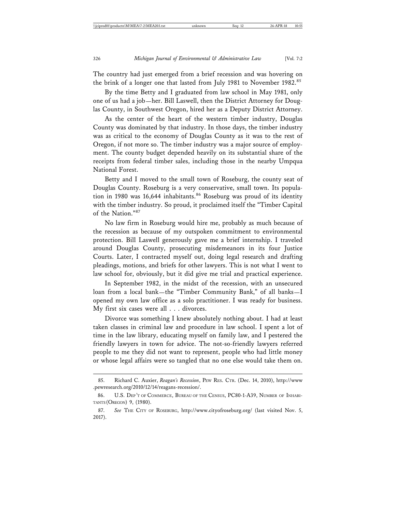The country had just emerged from a brief recession and was hovering on the brink of a longer one that lasted from July 1981 to November 1982.<sup>85</sup>

By the time Betty and I graduated from law school in May 1981, only one of us had a job—her. Bill Laswell, then the District Attorney for Douglas County, in Southwest Oregon, hired her as a Deputy District Attorney.

As the center of the heart of the western timber industry, Douglas County was dominated by that industry. In those days, the timber industry was as critical to the economy of Douglas County as it was to the rest of Oregon, if not more so. The timber industry was a major source of employment. The county budget depended heavily on its substantial share of the receipts from federal timber sales, including those in the nearby Umpqua National Forest.

Betty and I moved to the small town of Roseburg, the county seat of Douglas County. Roseburg is a very conservative, small town. Its population in 1980 was 16,644 inhabitants.<sup>86</sup> Roseburg was proud of its identity with the timber industry. So proud, it proclaimed itself the "Timber Capital of the Nation."<sup>87</sup>

No law firm in Roseburg would hire me, probably as much because of the recession as because of my outspoken commitment to environmental protection. Bill Laswell generously gave me a brief internship. I traveled around Douglas County, prosecuting misdemeanors in its four Justice Courts. Later, I contracted myself out, doing legal research and drafting pleadings, motions, and briefs for other lawyers. This is not what I went to law school for, obviously, but it did give me trial and practical experience.

In September 1982, in the midst of the recession, with an unsecured loan from a local bank—the "Timber Community Bank," of all banks—I opened my own law office as a solo practitioner. I was ready for business. My first six cases were all . . . divorces.

Divorce was something I knew absolutely nothing about. I had at least taken classes in criminal law and procedure in law school. I spent a lot of time in the law library, educating myself on family law, and I pestered the friendly lawyers in town for advice. The not-so-friendly lawyers referred people to me they did not want to represent, people who had little money or whose legal affairs were so tangled that no one else would take them on.

<sup>85.</sup> Richard C. Auxier, *Reagan's Recession*, PEW RES. CTR. (Dec. 14, 2010), http://www .pewresearch.org/2010/12/14/reagans-recession/.

<sup>86.</sup> U.S. DEP'T OF COMMERCE, BUREAU OF THE CENSUS, PC80-1-A39, NUMBER OF INHABI-TANTS (OREGON) 9, (1980).

<sup>87.</sup> *See* THE CITY OF ROSEBURG, http://www.cityofroseburg.org/ (last visited Nov. 5, 2017).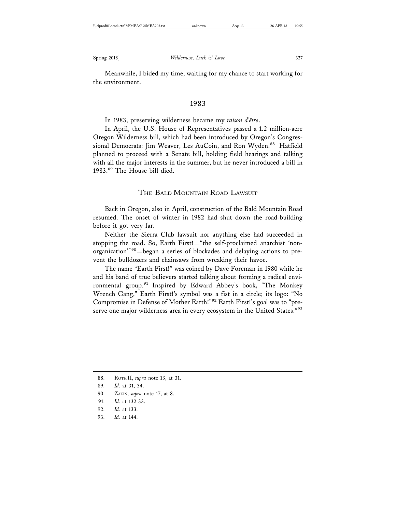Meanwhile, I bided my time, waiting for my chance to start working for the environment.

#### 1983

In 1983, preserving wilderness became my *raison d'ˆetre*.

In April, the U.S. House of Representatives passed a 1.2 million-acre Oregon Wilderness bill, which had been introduced by Oregon's Congressional Democrats: Jim Weaver, Les AuCoin, and Ron Wyden.<sup>88</sup> Hatfield planned to proceed with a Senate bill, holding field hearings and talking with all the major interests in the summer, but he never introduced a bill in 1983.89 The House bill died.

#### THE BALD MOUNTAIN ROAD LAWSUIT

Back in Oregon, also in April, construction of the Bald Mountain Road resumed. The onset of winter in 1982 had shut down the road-building before it got very far.

Neither the Sierra Club lawsuit nor anything else had succeeded in stopping the road. So, Earth First!—"the self-proclaimed anarchist 'nonorganization'"90—began a series of blockades and delaying actions to prevent the bulldozers and chainsaws from wreaking their havoc.

The name "Earth First!" was coined by Dave Foreman in 1980 while he and his band of true believers started talking about forming a radical environmental group.<sup>91</sup> Inspired by Edward Abbey's book, "The Monkey Wrench Gang," Earth First!'s symbol was a fist in a circle; its logo: "No Compromise in Defense of Mother Earth!"92 Earth First!'s goal was to "preserve one major wilderness area in every ecosystem in the United States."93

- 90. ZAKIN, *supra* note 17, at 8.
- 91. *Id.* at 132-33.
- 92. *Id.* at 133.
- 93. *Id.* at 144.

<sup>88.</sup> ROTH II, *supra* note 13, at 31.

<sup>89.</sup> *Id.* at 31, 34.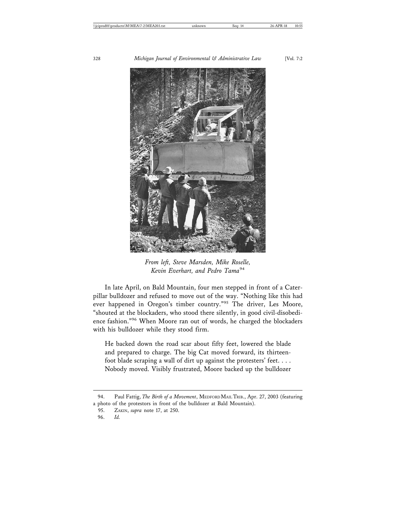

*From left, Steve Marsden, Mike Roselle, Kevin Everhart, and Pedro Tama*<sup>94</sup>

In late April, on Bald Mountain, four men stepped in front of a Caterpillar bulldozer and refused to move out of the way. "Nothing like this had ever happened in Oregon's timber country."95 The driver, Les Moore, "shouted at the blockaders, who stood there silently, in good civil-disobedience fashion."96 When Moore ran out of words, he charged the blockaders with his bulldozer while they stood firm.

He backed down the road scar about fifty feet, lowered the blade and prepared to charge. The big Cat moved forward, its thirteenfoot blade scraping a wall of dirt up against the protesters' feet. . . . Nobody moved. Visibly frustrated, Moore backed up the bulldozer

<sup>94.</sup> Paul Fattig, *The Birth of a Movement*, MEDFORD MAIL TRIB., Apr. 27, 2003 (featuring a photo of the protestors in front of the bulldozer at Bald Mountain).

<sup>95.</sup> ZAKIN, *supra* note 17, at 250.

<sup>96.</sup> *Id.*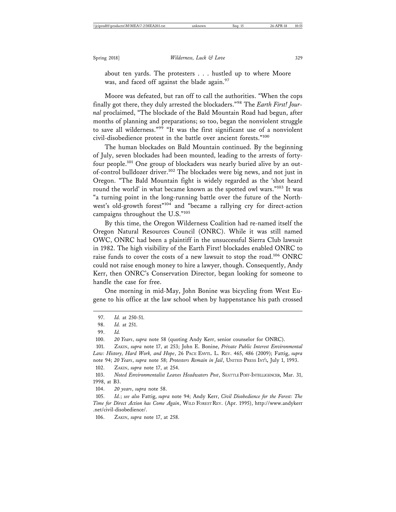about ten yards. The protesters . . . hustled up to where Moore was, and faced off against the blade again.<sup>97</sup>

Moore was defeated, but ran off to call the authorities. "When the cops finally got there, they duly arrested the blockaders."98 The *Earth First! Journal* proclaimed, "The blockade of the Bald Mountain Road had begun, after months of planning and preparations; so too, began the nonviolent struggle to save all wilderness."99 "It was the first significant use of a nonviolent civil-disobedience protest in the battle over ancient forests."100

The human blockades on Bald Mountain continued. By the beginning of July, seven blockades had been mounted, leading to the arrests of fortyfour people.101 One group of blockaders was nearly buried alive by an outof-control bulldozer driver.102 The blockades were big news, and not just in Oregon. "The Bald Mountain fight is widely regarded as the 'shot heard round the world' in what became known as the spotted owl wars."103 It was "a turning point in the long-running battle over the future of the Northwest's old-growth forest"104 and "became a rallying cry for direct-action campaigns throughout the U.S."<sup>105</sup>

By this time, the Oregon Wilderness Coalition had re-named itself the Oregon Natural Resources Council (ONRC). While it was still named OWC, ONRC had been a plaintiff in the unsuccessful Sierra Club lawsuit in 1982. The high visibility of the Earth First! blockades enabled ONRC to raise funds to cover the costs of a new lawsuit to stop the road.<sup>106</sup> ONRC could not raise enough money to hire a lawyer, though. Consequently, Andy Kerr, then ONRC's Conservation Director, began looking for someone to handle the case for free.

One morning in mid-May, John Bonine was bicycling from West Eugene to his office at the law school when by happenstance his path crossed

100. *20 Years*, *supra* note 58 (quoting Andy Kerr, senior counselor for ONRC).

102. ZAKIN, *supra* note 17, at 254.

103. *Noted Environmentalist Leaves Headwaters Post*, SEATTLE POST-INTELLIGENCER, Mar. 31, 1998, at B3.

104. *20 years*, *supra* note 58.

105. *Id.*; *see also* Fattig, *supra* note 94; Andy Kerr, *Civil Disobedience for the Forest: The Time for Direct Action has Come Again*, WILD FOREST REV. (Apr. 1995), http://www.andykerr .net/civil-disobedience/.

106. ZAKIN, *supra* note 17, at 258.

<sup>97.</sup> *Id.* at 250-51.

<sup>98.</sup> *Id.* at 251.

<sup>99.</sup> *Id.*

<sup>101.</sup> ZAKIN, *supra* note 17, at 253; John E. Bonine, *Private Public Interest Environmental Law: History, Hard Work, and Hope*, 26 PACE ENVTL. L. REV. 465, 486 (2009); Fattig, *supra* note 94; *20 Years*, *supra* note 58; *Protesters Remain in Jail*, UNITED PRESS INT'L, July 1, 1993.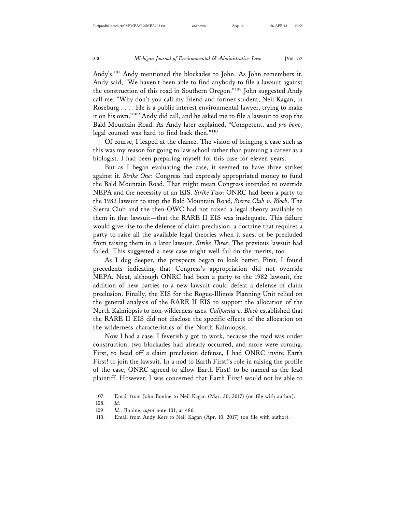Andy's.107 Andy mentioned the blockades to John. As John remembers it, Andy said, "We haven't been able to find anybody to file a lawsuit against the construction of this road in Southern Oregon."108 John suggested Andy call me. "Why don't you call my friend and former student, Neil Kagan, in Roseburg . . . . He is a public interest environmental lawyer, trying to make it on his own."109 Andy did call, and he asked me to file a lawsuit to stop the Bald Mountain Road. As Andy later explained, "Competent, and *pro bono*, legal counsel was hard to find back then."110

Of course, I leaped at the chance. The vision of bringing a case such as this was my reason for going to law school rather than pursuing a career as a biologist. I had been preparing myself for this case for eleven years.

But as I began evaluating the case, it seemed to have three strikes against it. *Strike One*: Congress had expressly appropriated money to fund the Bald Mountain Road. That might mean Congress intended to override NEPA and the necessity of an EIS. *Strike Two*: ONRC had been a party to the 1982 lawsuit to stop the Bald Mountain Road, *Sierra Club v. Block*. The Sierra Club and the then-OWC had not raised a legal theory available to them in that lawsuit—that the RARE II EIS was inadequate. This failure would give rise to the defense of claim preclusion, a doctrine that requires a party to raise all the available legal theories when it sues, or be precluded from raising them in a later lawsuit. *Strike Three*: The previous lawsuit had failed. This suggested a new case might well fail on the merits, too.

As I dug deeper, the prospects began to look better. First, I found precedents indicating that Congress's appropriation did not override NEPA. Next, although ONRC had been a party to the 1982 lawsuit, the addition of new parties to a new lawsuit could defeat a defense of claim preclusion. Finally, the EIS for the Rogue-Illinois Planning Unit relied on the general analysis of the RARE II EIS to support the allocation of the North Kalmiopsis to non-wilderness uses. *California v. Block* established that the RARE II EIS did not disclose the specific effects of the allocation on the wilderness characteristics of the North Kalmiopsis.

Now I had a case. I feverishly got to work, because the road was under construction, two blockades had already occurred, and more were coming. First, to head off a claim preclusion defense, I had ONRC invite Earth First! to join the lawsuit. In a nod to Earth First!'s role in raising the profile of the case, ONRC agreed to allow Earth First! to be named as the lead plaintiff. However, I was concerned that Earth First! would not be able to

<sup>107.</sup> Email from John Bonine to Neil Kagan (Mar. 30, 2017) (on file with author).

<sup>108.</sup> *Id.*

<sup>109.</sup> *Id.*; Bonine, *supra* note 101, at 486.

<sup>110.</sup> Email from Andy Kerr to Neil Kagan (Apr. 10, 2017) (on file with author).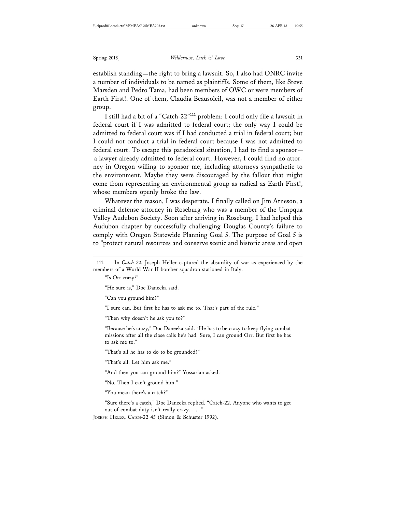establish standing—the right to bring a lawsuit. So, I also had ONRC invite a number of individuals to be named as plaintiffs. Some of them, like Steve Marsden and Pedro Tama, had been members of OWC or were members of Earth First!. One of them, Claudia Beausoleil, was not a member of either group.

I still had a bit of a "Catch-22"111 problem: I could only file a lawsuit in federal court if I was admitted to federal court; the only way I could be admitted to federal court was if I had conducted a trial in federal court; but I could not conduct a trial in federal court because I was not admitted to federal court. To escape this paradoxical situation, I had to find a sponsor a lawyer already admitted to federal court. However, I could find no attorney in Oregon willing to sponsor me, including attorneys sympathetic to the environment. Maybe they were discouraged by the fallout that might come from representing an environmental group as radical as Earth First!, whose members openly broke the law.

Whatever the reason, I was desperate. I finally called on Jim Arneson, a criminal defense attorney in Roseburg who was a member of the Umpqua Valley Audubon Society. Soon after arriving in Roseburg, I had helped this Audubon chapter by successfully challenging Douglas County's failure to comply with Oregon Statewide Planning Goal 5. The purpose of Goal 5 is to "protect natural resources and conserve scenic and historic areas and open

111. In *Catch-22*, Joseph Heller captured the absurdity of war as experienced by the members of a World War II bomber squadron stationed in Italy.

"Is Orr crazy?"

"He sure is," Doc Daneeka said.

"Can you ground him?"

"I sure can. But first he has to ask me to. That's part of the rule."

"Then why doesn't he ask you to?"

"Because he's crazy," Doc Daneeka said. "He has to be crazy to keep flying combat missions after all the close calls he's had. Sure, I can ground Orr. But first he has to ask me to."

"That's all he has to do to be grounded?"

"That's all. Let him ask me."

"And then you can ground him?" Yossarian asked.

"No. Then I can't ground him."

"You mean there's a catch?"

"Sure there's a catch," Doc Daneeka replied. "Catch-22. Anyone who wants to get out of combat duty isn't really crazy. . . ."

JOSEPH HELLER, CATCH-22 45 (Simon & Schuster 1992).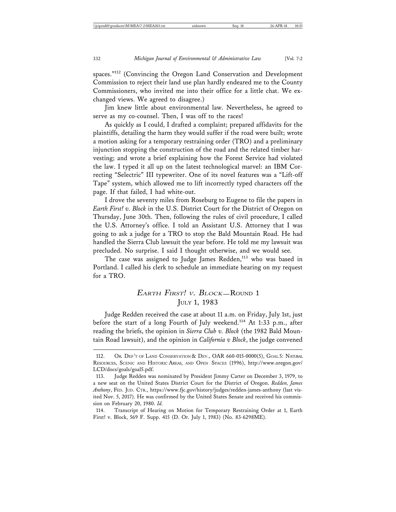spaces."<sup>112</sup> (Convincing the Oregon Land Conservation and Development Commission to reject their land use plan hardly endeared me to the County Commissioners, who invited me into their office for a little chat. We exchanged views. We agreed to disagree.)

Jim knew little about environmental law. Nevertheless, he agreed to serve as my co-counsel. Then, I was off to the races!

As quickly as I could, I drafted a complaint; prepared affidavits for the plaintiffs, detailing the harm they would suffer if the road were built; wrote a motion asking for a temporary restraining order (TRO) and a preliminary injunction stopping the construction of the road and the related timber harvesting; and wrote a brief explaining how the Forest Service had violated the law. I typed it all up on the latest technological marvel: an IBM Correcting "Selectric" III typewriter. One of its novel features was a "Lift-off Tape" system, which allowed me to lift incorrectly typed characters off the page. If that failed, I had white-out.

I drove the seventy miles from Roseburg to Eugene to file the papers in *Earth First! v. Block* in the U.S. District Court for the District of Oregon on Thursday, June 30th. Then, following the rules of civil procedure, I called the U.S. Attorney's office. I told an Assistant U.S. Attorney that I was going to ask a judge for a TRO to stop the Bald Mountain Road. He had handled the Sierra Club lawsuit the year before. He told me my lawsuit was precluded. No surprise. I said I thought otherwise, and we would see.

The case was assigned to Judge James Redden,<sup>113</sup> who was based in Portland. I called his clerk to schedule an immediate hearing on my request for a TRO.

# EARTH FIRST! V. BLOCK-ROUND 1 JULY 1, 1983

Judge Redden received the case at about 11 a.m. on Friday, July 1st, just before the start of a long Fourth of July weekend.<sup>114</sup> At 1:33 p.m., after reading the briefs, the opinion in *Sierra Club v. Block* (the 1982 Bald Mountain Road lawsuit), and the opinion in *California v Block*, the judge convened

<sup>112.</sup> OR. DEP'T OF LAND CONSERVATION & DEV., OAR 660-015-0000(5), GOAL 5: NATURAL RESOURCES, SCENIC AND HISTORIC AREAS, AND OPEN SPACES (1996), http://www.oregon.gov/ LCD/docs/goals/goal5.pdf.

<sup>113.</sup> Judge Redden was nominated by President Jimmy Carter on December 3, 1979, to a new seat on the United States District Court for the District of Oregon. *Redden, James Anthony*, FED. JUD. CTR., https://www.fjc.gov/history/judges/redden-james-anthony (last visited Nov. 5, 2017). He was confirmed by the United States Senate and received his commission on February 20, 1980. *Id.*

<sup>114.</sup> Transcript of Hearing on Motion for Temporary Restraining Order at 1, Earth First! v. Block, 569 F. Supp. 415 (D. Or. July 1, 1983) (No. 83-6298ME).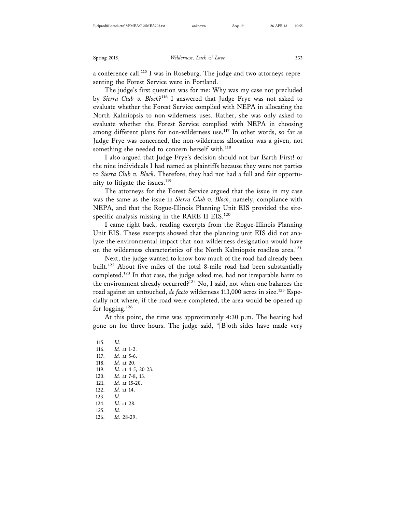a conference call.<sup>115</sup> I was in Roseburg. The judge and two attorneys representing the Forest Service were in Portland.

The judge's first question was for me: Why was my case not precluded by *Sierra Club v. Block*? 116 I answered that Judge Frye was not asked to evaluate whether the Forest Service complied with NEPA in allocating the North Kalmiopsis to non-wilderness uses. Rather, she was only asked to evaluate whether the Forest Service complied with NEPA in choosing among different plans for non-wilderness use.<sup>117</sup> In other words, so far as Judge Frye was concerned, the non-wilderness allocation was a given, not something she needed to concern herself with.<sup>118</sup>

I also argued that Judge Frye's decision should not bar Earth First! or the nine individuals I had named as plaintiffs because they were not parties to *Sierra Club v. Block*. Therefore, they had not had a full and fair opportunity to litigate the issues. $119$ 

The attorneys for the Forest Service argued that the issue in my case was the same as the issue in *Sierra Club v. Block*, namely, compliance with NEPA, and that the Rogue-Illinois Planning Unit EIS provided the sitespecific analysis missing in the RARE II EIS.<sup>120</sup>

I came right back, reading excerpts from the Rogue-Illinois Planning Unit EIS. These excerpts showed that the planning unit EIS did not analyze the environmental impact that non-wilderness designation would have on the wilderness characteristics of the North Kalmiopsis roadless area.<sup>121</sup>

Next, the judge wanted to know how much of the road had already been built.122 About five miles of the total 8-mile road had been substantially completed.<sup>123</sup> In that case, the judge asked me, had not irreparable harm to the environment already occurred? $124}$  No, I said, not when one balances the road against an untouched, *de facto* wilderness 113,000 acres in size.<sup>125</sup> Especially not where, if the road were completed, the area would be opened up for  $logging.<sup>126</sup>$ 

At this point, the time was approximately 4:30 p.m. The hearing had gone on for three hours. The judge said, "[B]oth sides have made very

115. *Id.* 116. *Id.* at 1-2. 117. *Id.* at 5-6. 118. *Id.* at 20. 119. *Id.* at 4-5, 20-23. 120. *Id.* at 7-8, 13. 121. *Id.* at 15-20. 122. *Id.* at 14. 123. *Id.* 124. *Id.* at 28. 125. *Id.* 126. *Id.* 28-29.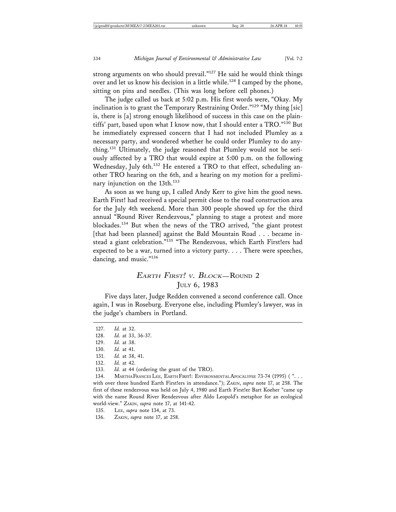strong arguments on who should prevail."<sup>127</sup> He said he would think things over and let us know his decision in a little while.<sup>128</sup> I camped by the phone, sitting on pins and needles. (This was long before cell phones.)

The judge called us back at 5:02 p.m. His first words were, "Okay. My inclination is to grant the Temporary Restraining Order."129 "My thing [sic] is, there is [a] strong enough likelihood of success in this case on the plaintiffs' part, based upon what I know now, that I should enter a TRO."130 But he immediately expressed concern that I had not included Plumley as a necessary party, and wondered whether he could order Plumley to do anything.131 Ultimately, the judge reasoned that Plumley would not be seriously affected by a TRO that would expire at 5:00 p.m. on the following Wednesday, July 6th.<sup>132</sup> He entered a TRO to that effect, scheduling another TRO hearing on the 6th, and a hearing on my motion for a preliminary injunction on the 13th.<sup>133</sup>

As soon as we hung up, I called Andy Kerr to give him the good news. Earth First! had received a special permit close to the road construction area for the July 4th weekend. More than 300 people showed up for the third annual "Round River Rendezvous," planning to stage a protest and more blockades.134 But when the news of the TRO arrived, "the giant protest [that had been planned] against the Bald Mountain Road . . . became instead a giant celebration."<sup>135</sup> "The Rendezvous, which Earth First!ers had expected to be a war, turned into a victory party. . . . There were speeches, dancing, and music."<sup>136</sup>

# EARTH FIRST! V. BLOCK-ROUND 2 JULY 6, 1983

Five days later, Judge Redden convened a second conference call. Once again, I was in Roseburg. Everyone else, including Plumley's lawyer, was in the judge's chambers in Portland.

130. *Id.* at 41.

132. *Id.* at 42.

<sup>127.</sup> *Id.* at 32.

<sup>128.</sup> *Id.* at 33, 36-37.

<sup>129.</sup> *Id.* at 38.

<sup>131.</sup> *Id.* at 38, 41.

<sup>133.</sup> *Id.* at 44 (ordering the grant of the TRO).

<sup>134.</sup> MARTHA FRANCES LEE, EARTH FIRST!: ENVIRONMENTAL APOCALYPSE 73-74 (1995) (". . . with over three hundred Earth Firstlers in attendance."); ZAKIN, *supra* note 17, at 258. The first of these rendezvous was held on July 4, 1980 and Earth Firstler Bart Koeher "came up with the name Round River Rendezvous after Aldo Leopold's metaphor for an ecological world-view." ZAKIN, *supra* note 17, at 141-42.

<sup>135.</sup> LEE, *supra* note 134, at 73.

<sup>136.</sup> ZAKIN, *supra* note 17, at 258.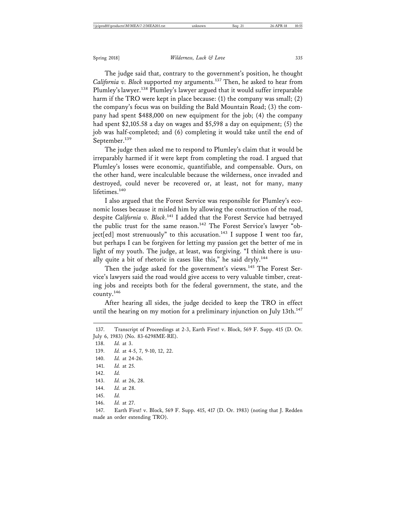The judge said that, contrary to the government's position, he thought *California v. Block* supported my arguments.137 Then, he asked to hear from Plumley's lawyer.138 Plumley's lawyer argued that it would suffer irreparable harm if the TRO were kept in place because: (1) the company was small; (2) the company's focus was on building the Bald Mountain Road; (3) the company had spent \$488,000 on new equipment for the job; (4) the company had spent \$2,105.58 a day on wages and \$5,598 a day on equipment; (5) the job was half-completed; and (6) completing it would take until the end of September.<sup>139</sup>

The judge then asked me to respond to Plumley's claim that it would be irreparably harmed if it were kept from completing the road. I argued that Plumley's losses were economic, quantifiable, and compensable. Ours, on the other hand, were incalculable because the wilderness, once invaded and destroyed, could never be recovered or, at least, not for many, many lifetimes.<sup>140</sup>

I also argued that the Forest Service was responsible for Plumley's economic losses because it misled him by allowing the construction of the road, despite *California v. Block*. 141 I added that the Forest Service had betrayed the public trust for the same reason.142 The Forest Service's lawyer "object[ed] most strenuously" to this accusation.<sup>143</sup> I suppose I went too far, but perhaps I can be forgiven for letting my passion get the better of me in light of my youth. The judge, at least, was forgiving. "I think there is usually quite a bit of rhetoric in cases like this," he said dryly.<sup>144</sup>

Then the judge asked for the government's views.<sup>145</sup> The Forest Service's lawyers said the road would give access to very valuable timber, creating jobs and receipts both for the federal government, the state, and the county.146

After hearing all sides, the judge decided to keep the TRO in effect until the hearing on my motion for a preliminary injunction on July 13th.<sup>147</sup>

138. *Id.* at 3. 139. *Id.* at 4-5, 7, 9-10, 12, 22. 140. *Id.* at 24-26. 141. *Id.* at 25. 142. *Id.* 143. *Id.* at 26, 28. 144. *Id.* at 28. 145. *Id.* 146. *Id.* at 27.

147. Earth First! v. Block, 569 F. Supp. 415, 417 (D. Or. 1983) (noting that J. Redden made an order extending TRO).

<sup>137.</sup> Transcript of Proceedings at 2-3, Earth First! v. Block, 569 F. Supp. 415 (D. Or. July 6, 1983) (No. 83-6298ME-RE).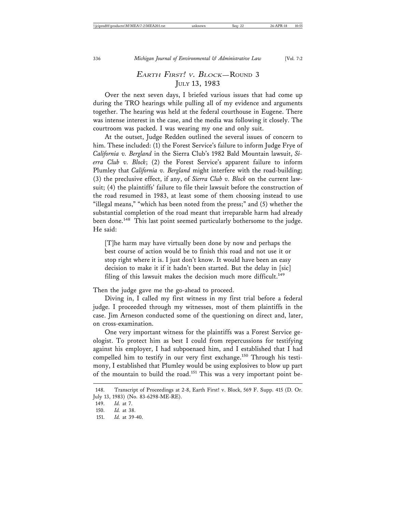# EARTH FIRST! V. BLOCK—ROUND 3 JULY 13, 1983

Over the next seven days, I briefed various issues that had come up during the TRO hearings while pulling all of my evidence and arguments together. The hearing was held at the federal courthouse in Eugene. There was intense interest in the case, and the media was following it closely. The courtroom was packed. I was wearing my one and only suit.

At the outset, Judge Redden outlined the several issues of concern to him. These included: (1) the Forest Service's failure to inform Judge Frye of *California v. Bergland* in the Sierra Club's 1982 Bald Mountain lawsuit, *Sierra Club v. Block*; (2) the Forest Service's apparent failure to inform Plumley that *California v. Bergland* might interfere with the road-building; (3) the preclusive effect, if any, of *Sierra Club v. Block* on the current lawsuit; (4) the plaintiffs' failure to file their lawsuit before the construction of the road resumed in 1983, at least some of them choosing instead to use "illegal means," "which has been noted from the press;" and (5) whether the substantial completion of the road meant that irreparable harm had already been done.<sup>148</sup> This last point seemed particularly bothersome to the judge. He said:

[T]he harm may have virtually been done by now and perhaps the best course of action would be to finish this road and not use it or stop right where it is. I just don't know. It would have been an easy decision to make it if it hadn't been started. But the delay in [sic] filing of this lawsuit makes the decision much more difficult.<sup>149</sup>

Then the judge gave me the go-ahead to proceed.

Diving in, I called my first witness in my first trial before a federal judge. I proceeded through my witnesses, most of them plaintiffs in the case. Jim Arneson conducted some of the questioning on direct and, later, on cross-examination.

One very important witness for the plaintiffs was a Forest Service geologist. To protect him as best I could from repercussions for testifying against his employer, I had subpoenaed him, and I established that I had compelled him to testify in our very first exchange.<sup>150</sup> Through his testimony, I established that Plumley would be using explosives to blow up part of the mountain to build the road.<sup>151</sup> This was a very important point be-

<sup>148.</sup> Transcript of Proceedings at 2-8, Earth First! v. Block, 569 F. Supp. 415 (D. Or. July 13, 1983) (No. 83-6298-ME-RE).

<sup>149.</sup> *Id.* at 7.

<sup>150.</sup> *Id.* at 38.

<sup>151.</sup> *Id.* at 39-40.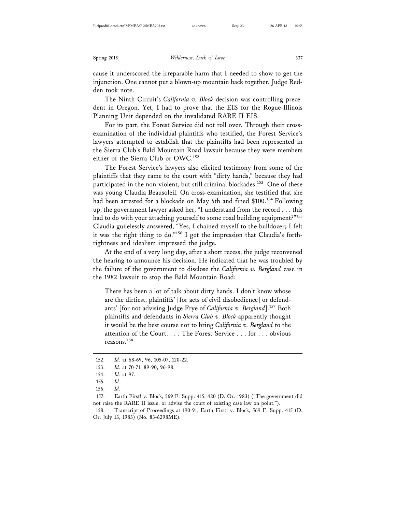cause it underscored the irreparable harm that I needed to show to get the injunction. One cannot put a blown-up mountain back together. Judge Redden took note.

The Ninth Circuit's *California v. Block* decision was controlling precedent in Oregon. Yet, I had to prove that the EIS for the Rogue-Illinois Planning Unit depended on the invalidated RARE II EIS.

For its part, the Forest Service did not roll over. Through their crossexamination of the individual plaintiffs who testified, the Forest Service's lawyers attempted to establish that the plaintiffs had been represented in the Sierra Club's Bald Mountain Road lawsuit because they were members either of the Sierra Club or OWC.152

The Forest Service's lawyers also elicited testimony from some of the plaintiffs that they came to the court with "dirty hands," because they had participated in the non-violent, but still criminal blockades.<sup>153</sup> One of these was young Claudia Beausoleil. On cross-examination, she testified that she had been arrested for a blockade on May 5th and fined \$100.<sup>154</sup> Following up, the government lawyer asked her, "I understand from the record . . . this had to do with your attaching yourself to some road building equipment?"<sup>155</sup> Claudia guilelessly answered, "Yes, I chained myself to the bulldozer; I felt it was the right thing to do."156 I got the impression that Claudia's forthrightness and idealism impressed the judge.

At the end of a very long day, after a short recess, the judge reconvened the hearing to announce his decision. He indicated that he was troubled by the failure of the government to disclose the *California v. Bergland* case in the 1982 lawsuit to stop the Bald Mountain Road:

There has been a lot of talk about dirty hands. I don't know whose are the dirtiest, plaintiffs' [for acts of civil disobedience] or defendants' [for not advising Judge Frye of *California v. Bergland*].157 Both plaintiffs and defendants in *Sierra Club v. Block* apparently thought it would be the best course not to bring *California v. Bergland* to the attention of the Court. . . . The Forest Service . . . for . . . obvious reasons.158

158. Transcript of Proceedings at 190-91, Earth First! v. Block, 569 F. Supp. 415 (D. Or. July 13, 1983) (No. 83-6298ME).

<sup>152.</sup> *Id.* at 68-69, 96, 105-07, 120-22.

<sup>153.</sup> *Id.* at 70-71, 89-90, 96-98.

<sup>154.</sup> *Id.* at 97.

<sup>155.</sup> *Id.*

<sup>156.</sup> *Id.*

<sup>157.</sup> Earth First! v. Block, 569 F. Supp. 415, 420 (D. Or. 1983) ("The government did not raise the RARE II issue, or advise the court of existing case law on point.").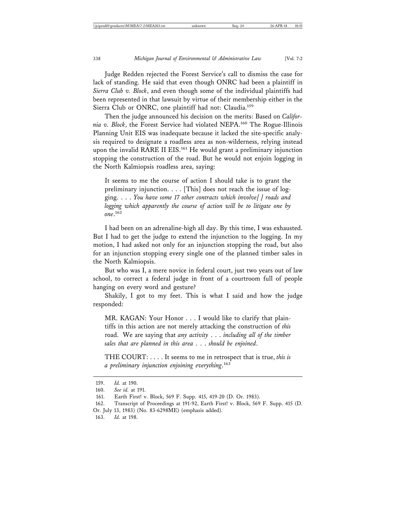Judge Redden rejected the Forest Service's call to dismiss the case for lack of standing. He said that even though ONRC had been a plaintiff in *Sierra Club v. Block*, and even though some of the individual plaintiffs had been represented in that lawsuit by virtue of their membership either in the Sierra Club or ONRC, one plaintiff had not: Claudia.<sup>159</sup>

Then the judge announced his decision on the merits: Based on *California v. Block*, the Forest Service had violated NEPA.160 The Rogue-Illinois Planning Unit EIS was inadequate because it lacked the site-specific analysis required to designate a roadless area as non-wilderness, relying instead upon the invalid RARE II EIS.<sup>161</sup> He would grant a preliminary injunction stopping the construction of the road. But he would not enjoin logging in the North Kalmiopsis roadless area, saying:

It seems to me the course of action I should take is to grant the preliminary injunction. . . . [This] does not reach the issue of logging. . . . *You have some 17 other contracts which involve[ ] roads and logging which apparently the course of action will be to litigate one by one*. 162

I had been on an adrenaline-high all day. By this time, I was exhausted. But I had to get the judge to extend the injunction to the logging. In my motion, I had asked not only for an injunction stopping the road, but also for an injunction stopping every single one of the planned timber sales in the North Kalmiopsis.

But who was I, a mere novice in federal court, just two years out of law school, to correct a federal judge in front of a courtroom full of people hanging on every word and gesture?

Shakily, I got to my feet. This is what I said and how the judge responded:

MR. KAGAN: Your Honor . . . I would like to clarify that plaintiffs in this action are not merely attacking the construction of *this* road. We are saying that *any activity* . . . *including all of the timber sales that are planned in this area* . . . *should be enjoined*.

THE COURT: . . . . It seems to me in retrospect that is true, *this is a preliminary injunction enjoining everything*. 163

163. *Id.* at 198.

<sup>159.</sup> *Id.* at 190.

<sup>160.</sup> *See id.* at 191.

<sup>161.</sup> Earth First! v. Block, 569 F. Supp. 415, 419-20 (D. Or. 1983).

<sup>162.</sup> Transcript of Proceedings at 191-92, Earth First! v. Block, 569 F. Supp. 415 (D. Or. July 13, 1983) (No. 83-6298ME) (emphasis added).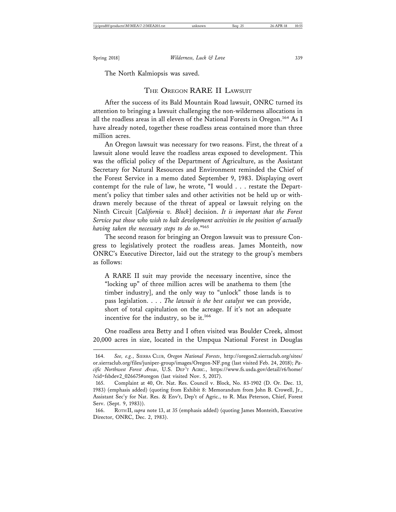The North Kalmiopsis was saved.

## THE OREGON RARE II LAWSUIT

After the success of its Bald Mountain Road lawsuit, ONRC turned its attention to bringing a lawsuit challenging the non-wilderness allocations in all the roadless areas in all eleven of the National Forests in Oregon.<sup>164</sup> As I have already noted, together these roadless areas contained more than three million acres.

An Oregon lawsuit was necessary for two reasons. First, the threat of a lawsuit alone would leave the roadless areas exposed to development. This was the official policy of the Department of Agriculture, as the Assistant Secretary for Natural Resources and Environment reminded the Chief of the Forest Service in a memo dated September 9, 1983. Displaying overt contempt for the rule of law, he wrote, "I would . . . restate the Department's policy that timber sales and other activities not be held up or withdrawn merely because of the threat of appeal or lawsuit relying on the Ninth Circuit [*California v. Block*] decision. *It is important that the Forest Service put those who wish to halt development activities in the position of actually having taken the necessary steps to do so*."165

The second reason for bringing an Oregon lawsuit was to pressure Congress to legislatively protect the roadless areas. James Monteith, now ONRC's Executive Director, laid out the strategy to the group's members as follows:

A RARE II suit may provide the necessary incentive, since the "locking up" of three million acres will be anathema to them [the timber industry], and the only way to "unlock" those lands is to pass legislation. . . . *The lawsuit is the best catalyst* we can provide, short of total capitulation on the acreage. If it's not an adequate incentive for the industry, so be it.<sup>166</sup>

One roadless area Betty and I often visited was Boulder Creek, almost 20,000 acres in size, located in the Umpqua National Forest in Douglas

<sup>164.</sup> *See, e.g.*, SIERRA CLUB, *Oregon National Forests*, http://oregon2.sierraclub.org/sites/ or.sierraclub.org/files/juniper-group/images/Oregon-NF.png (last visited Feb. 24, 2018); *Pacific Northwest Forest Areas*, U.S. DEP 'T AGRIC., https://www.fs.usda.gov/detail/r6/home/ ?cid=fsbdev2\_026675#oregon (last visited Nov. 5, 2017).

<sup>165.</sup> Complaint at 40, Or. Nat. Res. Council v. Block, No. 83-1902 (D. Or. Dec. 13, 1983) (emphasis added) (quoting from Exhibit 8: Memorandum from John B. Crowell, Jr., Assistant Sec'y for Nat. Res. & Env't, Dep't of Agric., to R. Max Peterson, Chief, Forest Serv. (Sept. 9, 1983)).

<sup>166.</sup> ROTH II, *supra* note 13, at 35 (emphasis added) (quoting James Monteith, Executive Director, ONRC, Dec. 2, 1983).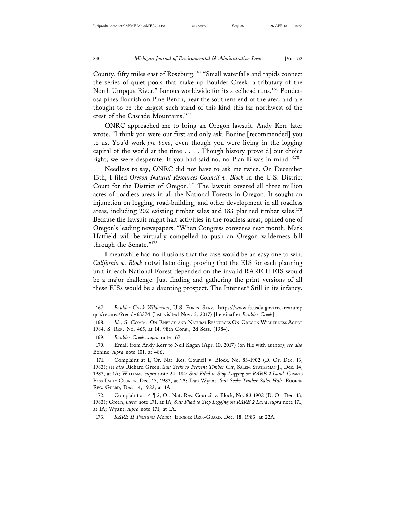County, fifty miles east of Roseburg.167 "Small waterfalls and rapids connect the series of quiet pools that make up Boulder Creek, a tributary of the North Umpqua River," famous worldwide for its steelhead runs.<sup>168</sup> Ponderosa pines flourish on Pine Bench, near the southern end of the area, and are thought to be the largest such stand of this kind this far northwest of the crest of the Cascade Mountains.<sup>169</sup>

ONRC approached me to bring an Oregon lawsuit. Andy Kerr later wrote, "I think you were our first and only ask. Bonine [recommended] you to us. You'd work *pro bono*, even though you were living in the logging capital of the world at the time . . . . Though history prove[d] our choice right, we were desperate. If you had said no, no Plan B was in mind."<sup>170</sup>

Needless to say, ONRC did not have to ask me twice. On December 13th, I filed *Oregon Natural Resources Council v. Block* in the U.S. District Court for the District of Oregon.<sup>171</sup> The lawsuit covered all three million acres of roadless areas in all the National Forests in Oregon. It sought an injunction on logging, road-building, and other development in all roadless areas, including 202 existing timber sales and 183 planned timber sales.<sup>172</sup> Because the lawsuit might halt activities in the roadless areas, opined one of Oregon's leading newspapers, "When Congress convenes next month, Mark Hatfield will be virtually compelled to push an Oregon wilderness bill through the Senate."<sup>173</sup>

I meanwhile had no illusions that the case would be an easy one to win. *California v. Block* notwithstanding, proving that the EIS for each planning unit in each National Forest depended on the invalid RARE II EIS would be a major challenge. Just finding and gathering the print versions of all these EISs would be a daunting prospect. The Internet? Still in its infancy.

173. *RARE II Pressures Mount*, EUGENE REG.-GUARD, Dec. 18, 1983, at 22A.

<sup>167.</sup> *Boulder Creek Wilderness*, U.S. FOREST SERV., https://www.fs.usda.gov/recarea/ump qua/recarea/?recid=63374 (last visited Nov. 5, 2017) [hereinafter *Boulder Creek*].

<sup>168.</sup> *Id.*; S. COMM. ON ENERGY AND NATURAL RESOURCES ON OREGON WILDERNESS ACTOF 1984, S. REP . NO. 465, at 14, 98th Cong., 2d Sess. (1984).

<sup>169.</sup> *Boulder Creek*, *supra* note 167.

<sup>170.</sup> Email from Andy Kerr to Neil Kagan (Apr. 10, 2017) (on file with author); *see also* Bonine, *supra* note 101, at 486.

<sup>171.</sup> Complaint at 1, Or. Nat. Res. Council v. Block, No. 83-1902 (D. Or. Dec. 13, 1983); *see also* Richard Green, *Suit Seeks to Prevent Timber Cut*, SALEM STATESMAN J., Dec. 14, 1983, at 1A; WILLIAMS, *supra* note 24, 184; *Suit Filed to Stop Logging on RARE 2 Land*, GRANTS PASS DAILY COURIER, Dec. 13, 1983, at 1A; Dan Wyant, Suit Seeks Timber-Sales Halt, EUGENE REG.-GUARD, Dec. 14, 1983, at 1A.

<sup>172.</sup> Complaint at 14 ¶ 2, Or. Nat. Res. Council v. Block, No. 83-1902 (D. Or. Dec. 13, 1983); Green, *supra* note 171, at 1A; *Suit Filed to Stop Logging on RARE 2 Land*, *supra* note 171, at 1A; Wyant, *supra* note 171, at 1A.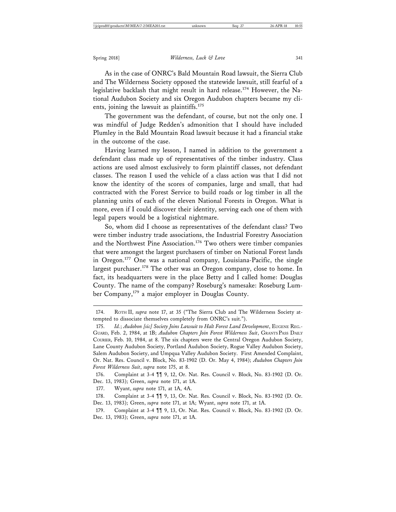As in the case of ONRC's Bald Mountain Road lawsuit, the Sierra Club and The Wilderness Society opposed the statewide lawsuit, still fearful of a legislative backlash that might result in hard release.174 However, the National Audubon Society and six Oregon Audubon chapters became my clients, joining the lawsuit as plaintiffs.<sup>175</sup>

The government was the defendant, of course, but not the only one. I was mindful of Judge Redden's admonition that I should have included Plumley in the Bald Mountain Road lawsuit because it had a financial stake in the outcome of the case.

Having learned my lesson, I named in addition to the government a defendant class made up of representatives of the timber industry. Class actions are used almost exclusively to form plaintiff classes, not defendant classes. The reason I used the vehicle of a class action was that I did not know the identity of the scores of companies, large and small, that had contracted with the Forest Service to build roads or log timber in all the planning units of each of the eleven National Forests in Oregon. What is more, even if I could discover their identity, serving each one of them with legal papers would be a logistical nightmare.

So, whom did I choose as representatives of the defendant class? Two were timber industry trade associations, the Industrial Forestry Association and the Northwest Pine Association.176 Two others were timber companies that were amongst the largest purchasers of timber on National Forest lands in Oregon.177 One was a national company, Louisiana-Pacific, the single largest purchaser.<sup>178</sup> The other was an Oregon company, close to home. In fact, its headquarters were in the place Betty and I called home: Douglas County. The name of the company? Roseburg's namesake: Roseburg Lumber Company,179 a major employer in Douglas County.

<sup>174.</sup> ROTH II, *supra* note 17, at 35 ("The Sierra Club and The Wilderness Society attempted to dissociate themselves completely from ONRC's suit.").

<sup>175.</sup> *Id.; Audobon [sic] Society Joins Lawsuit to Halt Forest Land Development*, EUGENE REG.-GUARD, Feb. 2, 1984, at 1B; *Audubon Chapters Join Forest Wilderness Suit*, GRANTS PASS DAILY COURIER, Feb. 10, 1984, at 8. The six chapters were the Central Oregon Audubon Society, Lane County Audubon Society, Portland Audubon Society, Rogue Valley Audubon Society, Salem Audubon Society, and Umpqua Valley Audubon Society. First Amended Complaint, Or. Nat. Res. Council v. Block, No. 83-1902 (D. Or. May 4, 1984); *Audubon Chapters Join Forest Wilderness Suit*, *supra* note 175, at 8.

<sup>176.</sup> Complaint at 3-4 ¶¶ 9, 12, Or. Nat. Res. Council v. Block, No. 83-1902 (D. Or. Dec. 13, 1983); Green, *supra* note 171, at 1A.

<sup>177.</sup> Wyant, *supra* note 171, at 1A, 4A.

<sup>178.</sup> Complaint at 3-4 ¶¶ 9, 13, Or. Nat. Res. Council v. Block, No. 83-1902 (D. Or. Dec. 13, 1983); Green, *supra* note 171, at 1A; Wyant, *supra* note 171, at 1A.

<sup>179.</sup> Complaint at 3-4 ¶¶ 9, 13, Or. Nat. Res. Council v. Block, No. 83-1902 (D. Or. Dec. 13, 1983); Green, *supra* note 171, at 1A.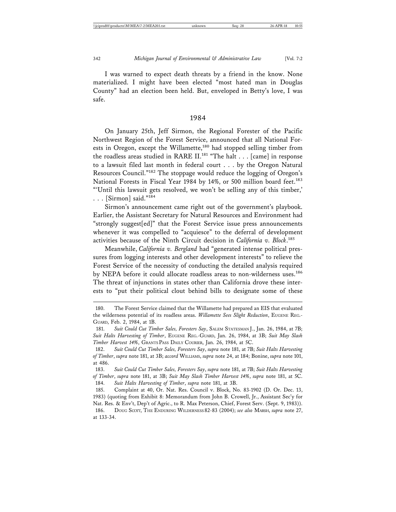I was warned to expect death threats by a friend in the know. None materialized. I might have been elected "most hated man in Douglas County" had an election been held. But, enveloped in Betty's love, I was safe.

#### 1984

On January 25th, Jeff Sirmon, the Regional Forester of the Pacific Northwest Region of the Forest Service, announced that all National Forests in Oregon, except the Willamette,<sup>180</sup> had stopped selling timber from the roadless areas studied in RARE II.<sup>181</sup> "The halt . . . [came] in response to a lawsuit filed last month in federal court . . . by the Oregon Natural Resources Council."182 The stoppage would reduce the logging of Oregon's National Forests in Fiscal Year 1984 by 14%, or 500 million board feet.<sup>183</sup> "'Until this lawsuit gets resolved, we won't be selling any of this timber,' . . . [Sirmon] said."184

Sirmon's announcement came right out of the government's playbook. Earlier, the Assistant Secretary for Natural Resources and Environment had "strongly suggest[ed]" that the Forest Service issue press announcements whenever it was compelled to "acquiesce" to the deferral of development activities because of the Ninth Circuit decision in *California v. Block*. 185

Meanwhile, *California v. Bergland* had "generated intense political pressures from logging interests and other development interests" to relieve the Forest Service of the necessity of conducting the detailed analysis required by NEPA before it could allocate roadless areas to non-wilderness uses.<sup>186</sup> The threat of injunctions in states other than California drove these interests to "put their political clout behind bills to designate some of these

<sup>180.</sup> The Forest Service claimed that the Willamette had prepared an EIS that evaluated the wilderness potential of its roadless areas. *Willamette Sees Slight Reduction*, EUGENE REG.- GUARD, Feb. 2, 1984, at 1B.

<sup>181.</sup> *Suit Could Cut Timber Sales, Foresters Say*, SALEM STATESMAN J., Jan. 26, 1984, at 7B; *Suit Halts Harvesting of Timber*, EUGENE REG.-GUARD, Jan. 26, 1984, at 3B; *Suit May Slash Timber Harvest 14%*, GRANTS PASS DAILY COURIER, Jan. 26, 1984, at 5C.

<sup>182.</sup> *Suit Could Cut Timber Sales, Foresters Say*, *supra* note 181, at 7B; *Suit Halts Harvesting of Timber*, *supra* note 181, at 3B; *accord* WILLIAMS, *supra* note 24, at 184; Bonine, *supra* note 101, at 486.

<sup>183.</sup> *Suit Could Cut Timber Sales, Foresters Say*, *supra* note 181, at 7B; *Suit Halts Harvesting of Timber*, *supra* note 181, at 3B; *Suit May Slash Timber Harvest 14%*, *supra* note 181, at 5C. 184. *Suit Halts Harvesting of Timber*, *supra* note 181, at 3B.

<sup>185.</sup> Complaint at 40, Or. Nat. Res. Council v. Block, No. 83-1902 (D. Or. Dec. 13, 1983) (quoting from Exhibit 8: Memorandum from John B. Crowell, Jr., Assistant Sec'y for Nat. Res. & Env't, Dep't of Agric., to R. Max Peterson, Chief, Forest Serv. (Sept. 9, 1983)).

<sup>186.</sup> DOUG SCOTT, THE ENDURING WILDERNESS 82-83 (2004); *see also* MARSH, *supra* note 27, at 133-34.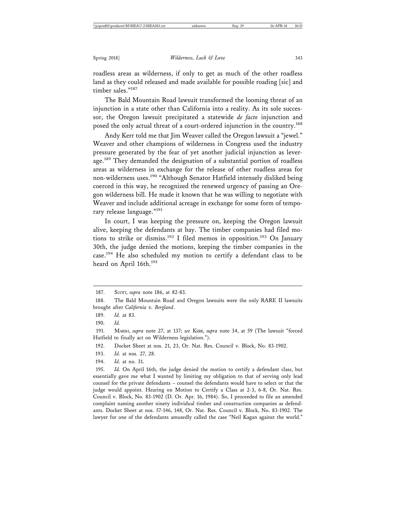roadless areas as wilderness, if only to get as much of the other roadless land as they could released and made available for possible roading [sic] and timber sales."<sup>187</sup>

The Bald Mountain Road lawsuit transformed the looming threat of an injunction in a state other than California into a reality. As its sole successor, the Oregon lawsuit precipitated a statewide *de facto* injunction and posed the only actual threat of a court-ordered injunction in the country.<sup>188</sup>

Andy Kerr told me that Jim Weaver called the Oregon lawsuit a "jewel." Weaver and other champions of wilderness in Congress used the industry pressure generated by the fear of yet another judicial injunction as leverage.<sup>189</sup> They demanded the designation of a substantial portion of roadless areas as wilderness in exchange for the release of other roadless areas for non-wilderness uses.<sup>190</sup> "Although Senator Hatfield intensely disliked being coerced in this way, he recognized the renewed urgency of passing an Oregon wilderness bill. He made it known that he was willing to negotiate with Weaver and include additional acreage in exchange for some form of temporary release language."<sup>191</sup>

In court, I was keeping the pressure on, keeping the Oregon lawsuit alive, keeping the defendants at bay. The timber companies had filed motions to strike or dismiss.<sup>192</sup> I filed memos in opposition.<sup>193</sup> On January 30th, the judge denied the motions, keeping the timber companies in the case.<sup>194</sup> He also scheduled my motion to certify a defendant class to be heard on April 16th.<sup>195</sup>

190. *Id.*

191. MARSH, *supra* note 27, at 137; *see* KERR, *supra* note 34, at 59 (The lawsuit "forced Hatfield to finally act on Wilderness legislation.").

192. Docket Sheet at nos. 21, 23, Or. Nat. Res. Council v. Block, No. 83-1902.

193. *Id.* at nos. 27, 28.

194. *Id.* at no. 31.

195. *Id.* On April 16th, the judge denied the motion to certify a defendant class, but essentially gave me what I wanted by limiting my obligation to that of serving only lead counsel for the private defendants – counsel the defendants would have to select or that the judge would appoint. Hearing on Motion to Certify a Class at 2-3, 6-8, Or. Nat. Res. Council v. Block, No. 83-1902 (D. Or. Apr. 16, 1984). So, I proceeded to file an amended complaint naming another ninety individual timber and construction companies as defendants. Docket Sheet at nos. 57-146, 148, Or. Nat. Res. Council v. Block, No. 83-1902. The lawyer for one of the defendants amusedly called the case "Neil Kagan against the world."

<sup>187.</sup> SCOTT, *supra* note 186, at 82-83.

<sup>188.</sup> The Bald Mountain Road and Oregon lawsuits were the only RARE II lawsuits brought after *California v. Bergland*.

<sup>189.</sup> *Id.* at 83.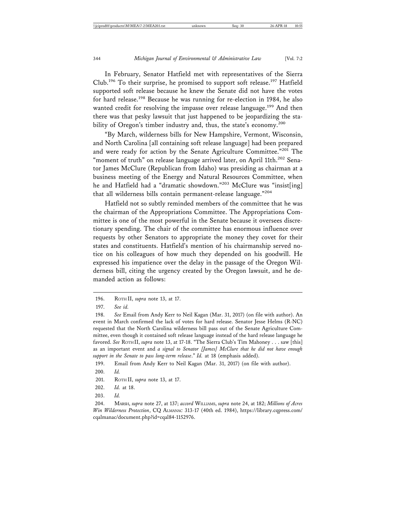In February, Senator Hatfield met with representatives of the Sierra Club.196 To their surprise, he promised to support soft release.197 Hatfield supported soft release because he knew the Senate did not have the votes for hard release.198 Because he was running for re-election in 1984, he also wanted credit for resolving the impasse over release language.<sup>199</sup> And then there was that pesky lawsuit that just happened to be jeopardizing the stability of Oregon's timber industry and, thus, the state's economy.<sup>200</sup>

"By March, wilderness bills for New Hampshire, Vermont, Wisconsin, and North Carolina [all containing soft release language] had been prepared and were ready for action by the Senate Agriculture Committee."<sup>201</sup> The "moment of truth" on release language arrived later, on April 11th.<sup>202</sup> Senator James McClure (Republican from Idaho) was presiding as chairman at a business meeting of the Energy and Natural Resources Committee, when he and Hatfield had a "dramatic showdown."203 McClure was "insist[ing] that all wilderness bills contain permanent-release language."<sup>204</sup>

Hatfield not so subtly reminded members of the committee that he was the chairman of the Appropriations Committee. The Appropriations Committee is one of the most powerful in the Senate because it oversees discretionary spending. The chair of the committee has enormous influence over requests by other Senators to appropriate the money they covet for their states and constituents. Hatfield's mention of his chairmanship served notice on his colleagues of how much they depended on his goodwill. He expressed his impatience over the delay in the passage of the Oregon Wilderness bill, citing the urgency created by the Oregon lawsuit, and he demanded action as follows:

199. Email from Andy Kerr to Neil Kagan (Mar. 31, 2017) (on file with author).

<sup>196.</sup> ROTH II, *supra* note 13, at 17.

<sup>197.</sup> *See id.*

<sup>198.</sup> *See* Email from Andy Kerr to Neil Kagan (Mar. 31, 2017) (on file with author). An event in March confirmed the lack of votes for hard release. Senator Jesse Helms (R-NC) requested that the North Carolina wilderness bill pass out of the Senate Agriculture Committee, even though it contained soft release language instead of the hard release language he favored. *See* ROTH II, *supra* note 13, at 17-18. "The Sierra Club's Tim Mahoney . . . saw [this] as an important event and *a signal to Senator [James] McClure that he did not have enough support in the Senate to pass long-term release*." *Id.* at 18 (emphasis added).

<sup>200.</sup> *Id.*

<sup>201.</sup> ROTH II, *supra* note 13, at 17.

<sup>202.</sup> *Id.* at 18.

<sup>203.</sup> *Id.*

<sup>204.</sup> MARSH, *supra* note 27, at 137; *accord* WILLIAMS, *supra* note 24, at 182; *Millions of Acres Win Wilderness Protection*, CQ ALMANAC 313-17 (40th ed. 1984), https://library.cqpress.com/ cqalmanac/document.php?id=cqal84-1152976.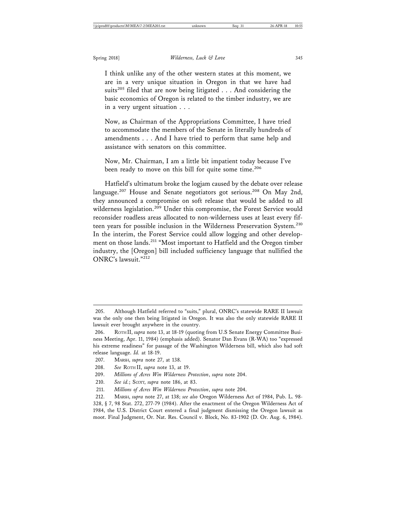I think unlike any of the other western states at this moment, we are in a very unique situation in Oregon in that we have had suits<sup>205</sup> filed that are now being litigated . . . And considering the basic economics of Oregon is related to the timber industry, we are in a very urgent situation . . .

Now, as Chairman of the Appropriations Committee, I have tried to accommodate the members of the Senate in literally hundreds of amendments . . . And I have tried to perform that same help and assistance with senators on this committee.

Now, Mr. Chairman, I am a little bit impatient today because I've been ready to move on this bill for quite some time.<sup>206</sup>

Hatfield's ultimatum broke the logjam caused by the debate over release language.<sup>207</sup> House and Senate negotiators got serious.<sup>208</sup> On May 2nd, they announced a compromise on soft release that would be added to all wilderness legislation.<sup>209</sup> Under this compromise, the Forest Service would reconsider roadless areas allocated to non-wilderness uses at least every fifteen years for possible inclusion in the Wilderness Preservation System.<sup>210</sup> In the interim, the Forest Service could allow logging and other development on those lands.<sup>211</sup> "Most important to Hatfield and the Oregon timber industry, the [Oregon] bill included sufficiency language that nullified the ONRC's lawsuit."<sup>212</sup>

209. *Millions of Acres Win Wilderness Protection*, *supra* note 204.

<sup>205.</sup> Although Hatfield referred to "suits," plural, ONRC's statewide RARE II lawsuit was the only one then being litigated in Oregon. It was also the only statewide RARE II lawsuit ever brought anywhere in the country.

<sup>206.</sup> ROTH II, *supra* note 13, at 18-19 (quoting from U.S Senate Energy Committee Business Meeting, Apr. 11, 1984) (emphasis added). Senator Dan Evans (R-WA) too "expressed his extreme readiness" for passage of the Washington Wilderness bill, which also had soft release language. *Id.* at 18-19.

<sup>207.</sup> MARSH, *supra* note 27, at 138.

<sup>208.</sup> *See* ROTH II, *supra* note 13, at 19.

<sup>210.</sup> *See id.*; SCOTT, *supra* note 186, at 83.

<sup>211.</sup> *Millions of Acres Win Wilderness Protection*, *supra* note 204.

<sup>212.</sup> MARSH, *supra* note 27, at 138; *see also* Oregon Wilderness Act of 1984, Pub. L. 98- 328, § 7, 98 Stat. 272, 277-79 (1984). After the enactment of the Oregon Wilderness Act of 1984, the U.S. District Court entered a final judgment dismissing the Oregon lawsuit as moot. Final Judgment, Or. Nat. Res. Council v. Block, No. 83-1902 (D. Or. Aug. 6, 1984).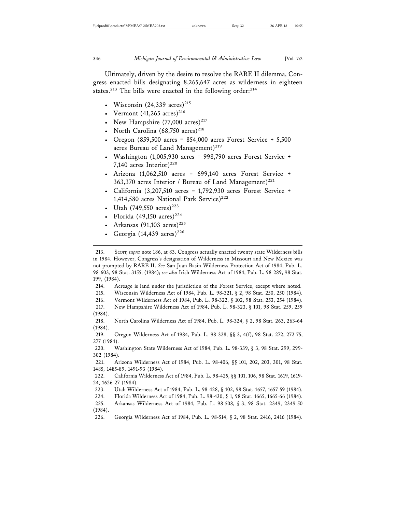Ultimately, driven by the desire to resolve the RARE II dilemma, Congress enacted bills designating 8,265,647 acres as wilderness in eighteen states.<sup>213</sup> The bills were enacted in the following order: $^{214}$ 

- Wisconsin  $(24,339 \text{ acres})^{215}$
- Vermont  $(41,265 \text{ acres})^{216}$
- New Hampshire  $(77,000 \text{ acres})^{217}$
- North Carolina  $(68,750 \text{ acres})^{218}$
- Oregon  $(859,500 \text{ acres} = 854,000 \text{ acres}$  Forest Service + 5,500 acres Bureau of Land Management)<sup>219</sup>
- Washington (1,005,930 acres = 998,790 acres Forest Service + 7,140 acres Interior $)^{220}$
- Arizona (1,062,510 acres = 699,140 acres Forest Service + 363,370 acres Interior / Bureau of Land Management)<sup>221</sup>
- California (3,207,510 acres = 1,792,930 acres Forest Service + 1,414,580 acres National Park Service)<sup>222</sup>
- Utah (749,550 acres)<sup>223</sup>
- Florida (49,150 acres)<sup>224</sup>
- Arkansas (91,103 acres)<sup>225</sup>
- Georgia (14,439 acres)<sup>226</sup>

213. SCOTT, *supra* note 186, at 83. Congress actually enacted twenty state Wilderness bills in 1984. However, Congress's designation of Wilderness in Missouri and New Mexico was not prompted by RARE II. *See* San Juan Basin Wilderness Protection Act of 1984, Pub. L. 98-603, 98 Stat. 3155, (1984); *see also* Irish Wilderness Act of 1984, Pub. L. 98-289, 98 Stat. 199, (1984).

214. Acreage is land under the jurisdiction of the Forest Service, except where noted.

215. Wisconsin Wilderness Act of 1984, Pub. L. 98-321, § 2, 98 Stat. 250, 250 (1984). 216. Vermont Wilderness Act of 1984, Pub. L. 98-322, § 102, 98 Stat. 253, 254 (1984).

- 217. New Hampshire Wilderness Act of 1984, Pub. L. 98-323, § 101, 98 Stat. 259, 259
- (1984).

218. North Carolina Wilderness Act of 1984, Pub. L. 98-324, § 2, 98 Stat. 263, 263-64 (1984).

219. Oregon Wilderness Act of 1984, Pub. L. 98-328, §§ 3, 4(f), 98 Stat. 272, 272-75, 277 (1984).

220. Washington State Wilderness Act of 1984, Pub. L. 98-339, § 3, 98 Stat. 299, 299- 302 (1984).

221. Arizona Wilderness Act of 1984, Pub. L. 98-406, §§ 101, 202, 203, 301, 98 Stat. 1485, 1485-89, 1491-93 (1984).

- 223. Utah Wilderness Act of 1984, Pub. L. 98-428, § 102, 98 Stat. 1657, 1657-59 (1984).
- 224. Florida Wilderness Act of 1984, Pub. L. 98-430, § 1, 98 Stat. 1665, 1665-66 (1984).

225. Arkansas Wilderness Act of 1984, Pub. L. 98-508, § 3, 98 Stat. 2349, 2349-50 (1984).

226. Georgia Wilderness Act of 1984, Pub. L. 98-514, § 2, 98 Stat. 2416, 2416 (1984).

<sup>222.</sup> California Wilderness Act of 1984, Pub. L. 98-425, §§ 101, 106, 98 Stat. 1619, 1619- 24, 1626-27 (1984).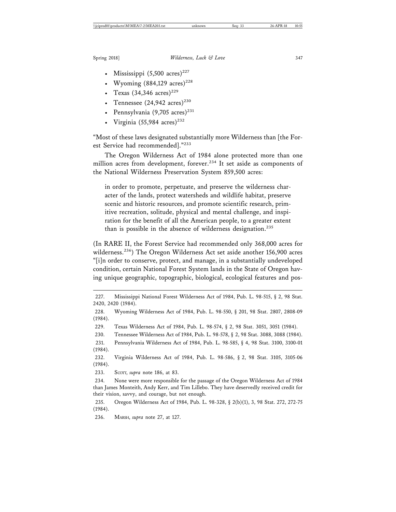- Mississippi  $(5,500 \text{ acres})^{227}$
- Wyoming  $(884,129 \text{ acres})^{228}$
- Texas  $(34,346 \text{ acres})^{229}$
- Tennessee  $(24,942 \text{ acres})^{230}$
- Pennsylvania  $(9,705 \text{ acres})^{231}$
- Virginia (55,984 acres)<sup>232</sup>

"Most of these laws designated substantially more Wilderness than [the Forest Service had recommended]."<sup>233</sup>

The Oregon Wilderness Act of 1984 alone protected more than one million acres from development, forever.<sup>234</sup> It set aside as components of the National Wilderness Preservation System 859,500 acres:

in order to promote, perpetuate, and preserve the wilderness character of the lands, protect watersheds and wildlife habitat, preserve scenic and historic resources, and promote scientific research, primitive recreation, solitude, physical and mental challenge, and inspiration for the benefit of all the American people, to a greater extent than is possible in the absence of wilderness designation.<sup>235</sup>

(In RARE II, the Forest Service had recommended only 368,000 acres for wilderness.<sup>236</sup>) The Oregon Wilderness Act set aside another 156,900 acres "[i]n order to conserve, protect, and manage, in a substantially undeveloped condition, certain National Forest System lands in the State of Oregon having unique geographic, topographic, biological, ecological features and pos-

227. Mississippi National Forest Wilderness Act of 1984, Pub. L. 98-515, § 2, 98 Stat. 2420, 2420 (1984).

229. Texas Wilderness Act of 1984, Pub. L. 98-574, § 2, 98 Stat. 3051, 3051 (1984).

230. Tennessee Wilderness Act of 1984, Pub. L. 98-578, § 2, 98 Stat. 3088, 3088 (1984).

231. Pennsylvania Wilderness Act of 1984, Pub. L. 98-585, § 4, 98 Stat. 3100, 3100-01 (1984).

232. Virginia Wilderness Act of 1984, Pub. L. 98-586, § 2, 98 Stat. 3105, 3105-06 (1984).

233. Scorr, *supra* note 186, at 83.

235. Oregon Wilderness Act of 1984, Pub. L. 98-328, § 2(b)(1), 3, 98 Stat. 272, 272-75 (1984).

236. MARSH, *supra* note 27, at 127.

<sup>228.</sup> Wyoming Wilderness Act of 1984, Pub. L. 98-550, § 201, 98 Stat. 2807, 2808-09 (1984).

<sup>234.</sup> None were more responsible for the passage of the Oregon Wilderness Act of 1984 than James Monteith, Andy Kerr, and Tim Lillebo. They have deservedly received credit for their vision, savvy, and courage, but not enough.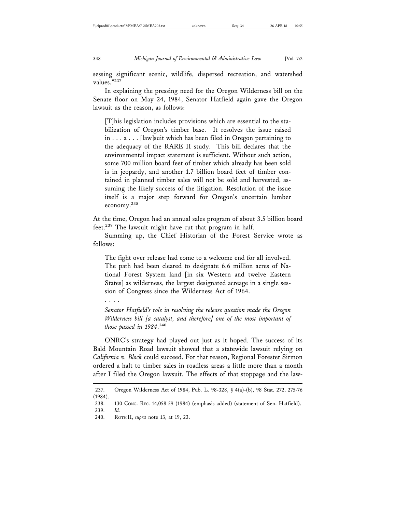sessing significant scenic, wildlife, dispersed recreation, and watershed values."237

In explaining the pressing need for the Oregon Wilderness bill on the Senate floor on May 24, 1984, Senator Hatfield again gave the Oregon lawsuit as the reason, as follows:

[T]his legislation includes provisions which are essential to the stabilization of Oregon's timber base. It resolves the issue raised in . . . a . . . [law]suit which has been filed in Oregon pertaining to the adequacy of the RARE II study. This bill declares that the environmental impact statement is sufficient. Without such action, some 700 million board feet of timber which already has been sold is in jeopardy, and another 1.7 billion board feet of timber contained in planned timber sales will not be sold and harvested, assuming the likely success of the litigation. Resolution of the issue itself is a major step forward for Oregon's uncertain lumber economy.238

At the time, Oregon had an annual sales program of about 3.5 billion board feet.<sup>239</sup> The lawsuit might have cut that program in half.

Summing up, the Chief Historian of the Forest Service wrote as follows:

The fight over release had come to a welcome end for all involved. The path had been cleared to designate 6.6 million acres of National Forest System land [in six Western and twelve Eastern States] as wilderness, the largest designated acreage in a single session of Congress since the Wilderness Act of 1964.

. . . .

*Senator Hatfield's role in resolving the release question made the Oregon Wilderness bill [a catalyst, and therefore] one of the most important of those passed in 1984*. 240

ONRC's strategy had played out just as it hoped. The success of its Bald Mountain Road lawsuit showed that a statewide lawsuit relying on *California v. Block* could succeed. For that reason, Regional Forester Sirmon ordered a halt to timber sales in roadless areas a little more than a month after I filed the Oregon lawsuit. The effects of that stoppage and the law-

<sup>237.</sup> Oregon Wilderness Act of 1984, Pub. L. 98-328, § 4(a)-(b), 98 Stat. 272, 275-76 (1984).

<sup>238. 130</sup> CONG. REC. 14,058-59 (1984) (emphasis added) (statement of Sen. Hatfield). 239. *Id.*

<sup>240.</sup> ROTH II, *supra* note 13, at 19, 23.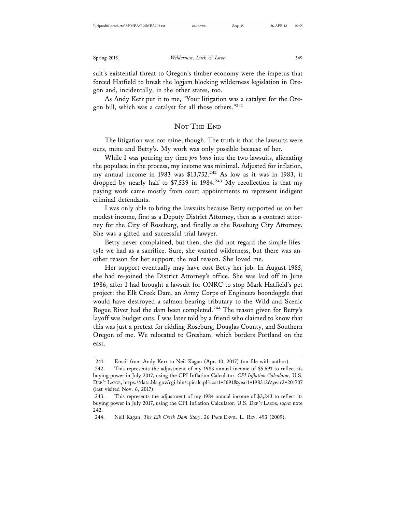suit's existential threat to Oregon's timber economy were the impetus that forced Hatfield to break the logjam blocking wilderness legislation in Oregon and, incidentally, in the other states, too.

As Andy Kerr put it to me, "Your litigation was a catalyst for the Oregon bill, which was a catalyst for all those others."<sup>241</sup>

### NOT THE END

The litigation was not mine, though. The truth is that the lawsuits were ours, mine and Betty's. My work was only possible because of her.

While I was pouring my time *pro bono* into the two lawsuits, alienating the populace in the process, my income was minimal. Adjusted for inflation, my annual income in 1983 was \$13,752.<sup>242</sup> As low as it was in 1983, it dropped by nearly half to  $$7,539$  in 1984.<sup>243</sup> My recollection is that my paying work came mostly from court appointments to represent indigent criminal defendants.

I was only able to bring the lawsuits because Betty supported us on her modest income, first as a Deputy District Attorney, then as a contract attorney for the City of Roseburg, and finally as the Roseburg City Attorney. She was a gifted and successful trial lawyer.

Betty never complained, but then, she did not regard the simple lifestyle we had as a sacrifice. Sure, she wanted wilderness, but there was another reason for her support, the real reason. She loved me.

Her support eventually may have cost Betty her job. In August 1985, she had re-joined the District Attorney's office. She was laid off in June 1986, after I had brought a lawsuit for ONRC to stop Mark Hatfield's pet project: the Elk Creek Dam, an Army Corps of Engineers boondoggle that would have destroyed a salmon-bearing tributary to the Wild and Scenic Rogue River had the dam been completed.<sup>244</sup> The reason given for Betty's layoff was budget cuts. I was later told by a friend who claimed to know that this was just a pretext for ridding Roseburg, Douglas County, and Southern Oregon of me. We relocated to Gresham, which borders Portland on the east.

<sup>241.</sup> Email from Andy Kerr to Neil Kagan (Apr. 10, 2017) (on file with author).

<sup>242.</sup> This represents the adjustment of my 1983 annual income of \$5,691 to reflect its buying power in July 2017, using the CPI Inflation Calculator. *CPI Inflation Calculator*, U.S. DEP 'T LABOR, https://data.bls.gov/cgi-bin/cpicalc.pl?cost1=5691&year1=198312&year2=201707 (last visited Nov. 6, 2017).

<sup>243.</sup> This represents the adjustment of my 1984 annual income of \$3,243 to reflect its buying power in July 2017, using the CPI Inflation Calculator. U.S. DEP 'T LABOR, *supra* note 242.

<sup>244.</sup> Neil Kagan, *The Elk Creek Dam Story*, 26 PACE ENVTL. L. REV. 493 (2009).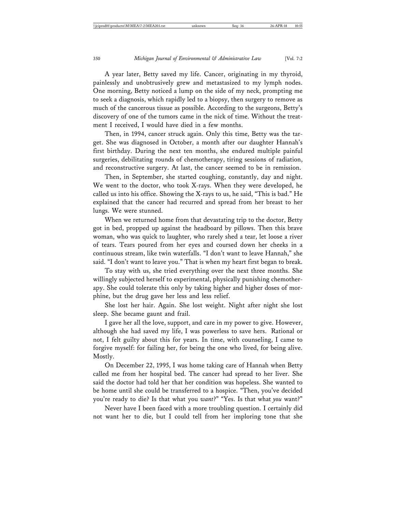A year later, Betty saved my life. Cancer, originating in my thyroid, painlessly and unobtrusively grew and metastasized to my lymph nodes. One morning, Betty noticed a lump on the side of my neck, prompting me to seek a diagnosis, which rapidly led to a biopsy, then surgery to remove as much of the cancerous tissue as possible. According to the surgeons, Betty's discovery of one of the tumors came in the nick of time. Without the treatment I received, I would have died in a few months.

Then, in 1994, cancer struck again. Only this time, Betty was the target. She was diagnosed in October, a month after our daughter Hannah's first birthday. During the next ten months, she endured multiple painful surgeries, debilitating rounds of chemotherapy, tiring sessions of radiation, and reconstructive surgery. At last, the cancer seemed to be in remission.

Then, in September, she started coughing, constantly, day and night. We went to the doctor, who took X-rays. When they were developed, he called us into his office. Showing the X-rays to us, he said, "This is bad." He explained that the cancer had recurred and spread from her breast to her lungs. We were stunned.

When we returned home from that devastating trip to the doctor, Betty got in bed, propped up against the headboard by pillows. Then this brave woman, who was quick to laughter, who rarely shed a tear, let loose a river of tears. Tears poured from her eyes and coursed down her cheeks in a continuous stream, like twin waterfalls. "I don't want to leave Hannah," she said. "I don't want to leave you." That is when my heart first began to break.

To stay with us, she tried everything over the next three months. She willingly subjected herself to experimental, physically punishing chemotherapy. She could tolerate this only by taking higher and higher doses of morphine, but the drug gave her less and less relief.

She lost her hair. Again. She lost weight. Night after night she lost sleep. She became gaunt and frail.

I gave her all the love, support, and care in my power to give. However, although she had saved my life, I was powerless to save hers. Rational or not, I felt guilty about this for years. In time, with counseling, I came to forgive myself: for failing her, for being the one who lived, for being alive. Mostly.

On December 22, 1995, I was home taking care of Hannah when Betty called me from her hospital bed. The cancer had spread to her liver. She said the doctor had told her that her condition was hopeless. She wanted to be home until she could be transferred to a hospice. "Then, you've decided you're ready to die? Is that what you *want*?" "Yes. Is that what *you* want?"

Never have I been faced with a more troubling question. I certainly did not want her to die, but I could tell from her imploring tone that she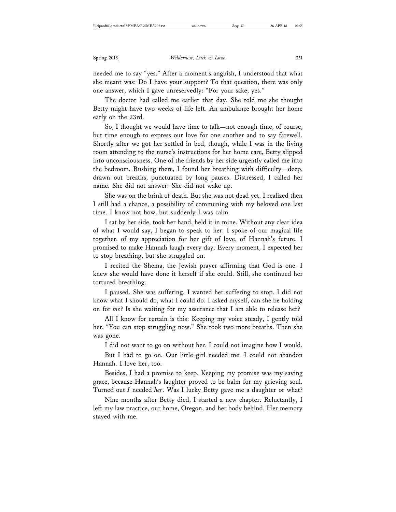needed me to say "yes." After a moment's anguish, I understood that what she meant was: Do I have your support? To that question, there was only one answer, which I gave unreservedly: "For your sake, yes."

The doctor had called me earlier that day. She told me she thought Betty might have two weeks of life left. An ambulance brought her home early on the 23rd.

So, I thought we would have time to talk—not enough time, of course, but time enough to express our love for one another and to say farewell. Shortly after we got her settled in bed, though, while I was in the living room attending to the nurse's instructions for her home care, Betty slipped into unconsciousness. One of the friends by her side urgently called me into the bedroom. Rushing there, I found her breathing with difficulty—deep, drawn out breaths, punctuated by long pauses. Distressed, I called her name. She did not answer. She did not wake up.

She was on the brink of death. But she was not dead yet. I realized then I still had a chance, a possibility of communing with my beloved one last time. I know not how, but suddenly I was calm.

I sat by her side, took her hand, held it in mine. Without any clear idea of what I would say, I began to speak to her. I spoke of our magical life together, of my appreciation for her gift of love, of Hannah's future. I promised to make Hannah laugh every day. Every moment, I expected her to stop breathing, but she struggled on.

I recited the Shema, the Jewish prayer affirming that God is one. I knew she would have done it herself if she could. Still, she continued her tortured breathing.

I paused. She was suffering. I wanted her suffering to stop. I did not know what I should do, what I could do. I asked myself, can she be holding on for *me*? Is she waiting for my assurance that I am able to release her?

All I know for certain is this: Keeping my voice steady, I gently told her, "You can stop struggling now." She took two more breaths. Then she was gone.

I did not want to go on without her. I could not imagine how I would.

But I had to go on. Our little girl needed me. I could not abandon Hannah. I love her, too.

Besides, I had a promise to keep. Keeping my promise was my saving grace, because Hannah's laughter proved to be balm for my grieving soul. Turned out *I* needed *her*. Was I lucky Betty gave me a daughter or what?

Nine months after Betty died, I started a new chapter. Reluctantly, I left my law practice, our home, Oregon, and her body behind. Her memory stayed with me.